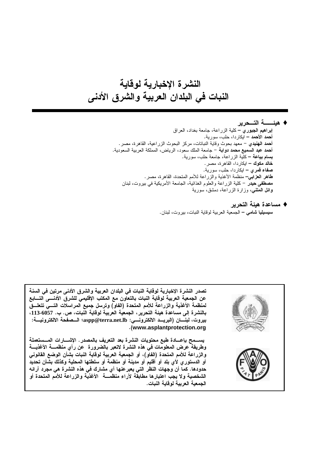# النشرة الإخبارية لوقاية النبات في البلدان العربية والشرق الأدنى

- إبراهيم الجبوري – كلية الزراعة، جامعة بغداد، العراق أ**حمد الأحمد –** ايكار دا، حلب، سور ية. أ**حمد الـهنيد**ى – معهد بـحوث وقاية النباتات، مركز البحوث الزراعية، القاهرة، مصر . أ**حمد عبد السميع محمد دوابة** – جامعة الملك سعود، الرياض، المملكة العربية السعودية. بسلم بياعة –كلية الزراعة، جامعة حلب، سورية. خالد مكوك – ايكار دا، القاهرة، مصر . صفاء قمري – ايكاردا، حلب، سورية. **ظاهر العزابي**– منظمة الأغذية والزراعة للأمم المتحدة، القاهرة، مصر . **مصطفى حيد**ر – كلية الزراعة والعلوم الغذائية، الجامعة الأمريكية في بيروت، لبنان وائل المعتمى، وزارة الزراعة، دمشق، سورية
	- ♦ مساعدة هيئة التحرير سيسيليا شلمي – الجمعية العربية لوقاية النبات، بيروت، لبنان.

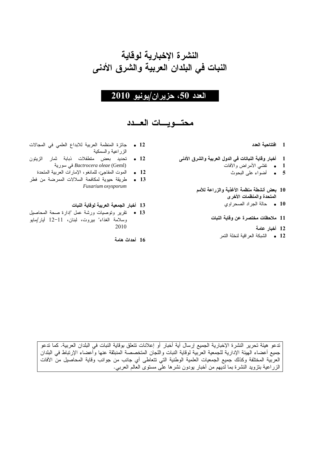# النشرة الإخبارية لوقاية النبات في البلدان العربية والشرق الأدنى

# $2010$  العدد 50، حزير ان/يونيو

# محتسويسات العسدد

- 1 افتتاحية العدد
- 1
	- 1
		- 5 أضواء على البحوث
	- 10 بعض أنشطة منظمة الأغذية والزراعة للأمم المتحدة والمنظمات الأخرى
		- 10 حالة الجراد الصحر اوى
		- 11 ملاحظات مختصرة عن وقاية النبات
			- 12 أخبار عامة
			- 12 الشبكة العراقية لنخلة التمر
- 12 جائزة المنظمة العربية للابداع العلمي في المجالات الزراعية والسمكية
- 12 . تحديد بعض متطفلات ذبابة شار الزيتون " -  *Bactrocera oleae* (Geml)
	- موت المفاجئ، للمانغو، الإمارات العربية المتحدة • 12
- 13 . طريقة حيوية لمكافحة السلالات الممرضة من فطر *Fusarium oxysporum*

### 13 أخبار الجمعية العربية لوقاية النبات

13 • تقرير وتوصيات ورشة عمل "إدارة صحة المحاصيل وسلامة الغذاء" بيروت، لبنان، 11–12 أيار/مايو 2010

16 أحداث هامة

تدعو هيئة تحرير النشر ة الإخبارية الجميع إرسال أية أخبار أو إعلانات نتعلق بوقاية النبات في البلدان العربية. كما تدعو جميع أعضاء الهيئة الإدارية للجمعية العربية لوقاية النبات واللجان المتخصصة المنبثقة عنها وأعضاء الإرتباط في البلدان العربية المختلفة وكذلك جميع الجمعيات العلمية الوطنية التي تتعاطى أي جانب من جوانب وقاية المحاصيل من الأفات الزراعية بتزويد النشرة بما لديهم من أخبار يودون نشرها على مستوى العالم العربي.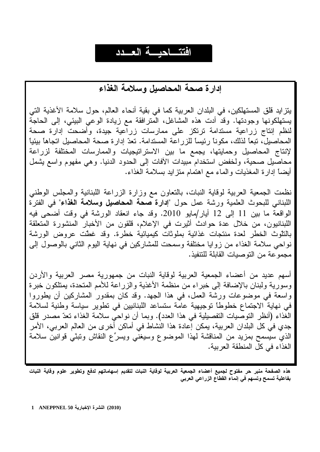# افتتها حبسة العسدد

# إدارة صحة المحاصيل وسلامة الغذاء

يتزايد قلق المستهلكين، في البلدان العربية كما في بقية أنحاء العالم، حول سلامة الأغذية التي يستهلكونها وجودتها. وقد أدت هذه المشاغل، المنزافقة مع زيادة الوعى البيئي، إلى الحاجة لنظم إنتاج زراعية مستدامة ترتكز على ممارسات زراعية جيدة، وأضحت إدارة صحة المحاصيل، تبعًا لذلك، مكونًا رئيسًا للزراعة المستدامة. تعدّ إدارة صحة المحاصيل اتجاهاً بيئياً لإنتاج المحاصيل وحمايتها، يجمع ما بين الاستراتيجيات والممارسات المختلفة لزراعة محاصيل صحية، ولخفض استخدام مبيدات الأفات إلى الحدود الدنيا. وهي مفهوم واسع يشمل أيضاً إدارة المغذيات والماء مع اهتمام متزايد بسلامة الغذاء.

نظمت الجمعية العربية لوقاية النبات، بالنعاون مع وزارة الزراعة اللبنانية والمجلس الوطنبي اللبناني للبحوث العلمية ورشة عمل حول "إ**دارة صحة المحاصيل وسلامة الغذاء**" في الفترة الو اقعة ما بين 11 إلى 12 أيار /مايو 2010. وقد جاء انعقاد الورشة في وقت أضحى فيه اللبنانيون، من خلال عدة حوادث أثيرت في الإعلام، قلقون من الأخبار المنشورة المتعلقة بالنَّوْتْ الْخطر لعدة منتجات غذائية بملوثات كيميائية خطرة. وقد غطَّت عروض الورشة نواحي سلامة الغذاء من زوايا مختلفة وسمحت للمشاركين في نهاية اليوم الثاني بالوصول إلى مجمو عة من النو صبيات القابلة للننفيذ.

أسهم عديد من أعضاء الجمعية العربية لوقاية النبات من جمهورية مصر العربية والأردن وسورية ولبنان بالإضافة إلى خبراء من منظمة الأغذية والزراعة للأمم المتحدة، يمتلكون خبرة واسعة في موضوعات ورشة العمل، في هذا الجهد. وقد كان بمقدور المشاركين أن يطوروا في نهاية الاجتماع خطوطاً توجيهية عامّة ستساعد اللبنانيين في تطوير سياسة وطنية لسلامة الغَذاء (أنظر التوصُّيات التفصيلية في هذا العدد). وبما أن نواحيُّ سلامة الغذاء تعدُّ مصدر قلق جدي في كل البلدان العربية، يمكن إعادة هذا النشاط في أماكن أخر ي من العالم العربي، الأمر الذي سيسمح بمزيد من المناقشة لمهذا الموضوع وسيغنى ويسرِّع النقاش وتبتَّى قوانين سلامة الغذاء في كلِّ المنطقة العربية.

هذه الصفحة منبر حر مفتوح لجميع أعضاء الجمعية العربية لوقاية النبات لتقديم إسهاماتهم لدفع وتطوير علوم وقاية النبات بفاعلية تسمح وتسهم في إنماء القطاع الزراعي العربي

(2010) النشرة الإخبارية ANEPPNEL 50 .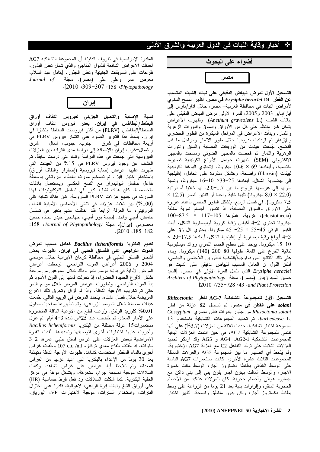# \* أخبار وقاية النبات في الدول العربية والشرق الأدنى

أضواء على البحوث

مصر

التسجيل الأول لمرض البياض الدقيقي على نبات الشبت المتسبب **عن الفطر Erysiphe heraclei DC في مصر .** أظهر المسح السنوي لأمراض النبات في محافظة الغربية– مصر ، خلال اذار/مارس إلى أيار/مايو 2003 و2005، للمرة الأولىي مرض البياض الدقيقي علىي نباتات الشبت (Anethum graveolens L.). وظهرت الأعراض بشكل غير منتظم على كل من الأوراق والسوق والنورات الزهرية والثمار . وبدأت الأعراض في المراحل المبكرة من الطور الخضري والإزهار ثم ازدادت ندريجيا خلال طور الاثمار ومراحل ما قبل النضج. جُمعت عينات من الوريقات المصابة والساق والنورات الزهرّية والثمار ثم فحصت بالمحهر الضوئي ومسحت بالمجهر الإلكتروني (SEM). ظهرت حوامل الأبواغ الكونيدية قصيرة، منتصبة، وأبعادها 69 × 6-10 ميكرونا. لاتحتوي البوغة الكونيدية لييفات (fibrosin) واضحة، وتتشكل منفردة على الحامل، إهليلجية إلى بيضاوية الشكل، أبعادها 25−33× 10−16 ميكرونا، ونسبة طولها إلى عرضها بِتراوح ما بَيْن 1.7−2.0. لَها خلايا أسطوانية (22.0 × 8.0 ميكرونا) تليها خلية واحدة أو اثنتين أقصر (12.5 × 7.5 ميكرونـًا). فـي فصـل الربيع، يتشكل الطور الـجنسـي بـأعداد غزيرة على الأوراق والسوق المصابة، إذ نتطور أجسام ثمرية مغلقة (cleistothecia)، كروية، قطرها 117-105 × 7.5-110 ميكرونا نحتوي 2–4 أكياس زقية كروية أوبيضاوية الشكل، أبعاد الكيس الزقبي 45−55 × 25− 45 ميكرونا. يحتوي كل زق علي 3−4 أبواغ زقية بيضاوية أو إهليلجية الشكل، أبعادها 17.5−20 × 15–15 ميكرونا. يوجد على سطح الجسم النْمري زوائد ميسليومية ثنائية النفرع غلبي القمة، طولها 80–200 (140) ميكرونا. وبناء على نلك النتائج المورفولوجية/الشكلية للطورين اللاجنسي والجنسي، أمكن القول أن العامل المسبب للبياض الدقيقي على الشبت هو Erysiphe heraclei الذي سُجل للمرة الأولى في مصر. [السيد حسين السيد زيدان (مصر). مجلة Archives of Phytopathology .[2010 .735-728 :43 .and Plant Protection

التسجيل الأول للمجموعة التشابكية AG-7 لفطر Rhizoctonia solani على القطن في مصر. تم تسجيل 82 عزلة من فطر Gossypium من جذور بادرات قطن مصري Rhizoctonia solani .barbedease L. تم تحديد المجموعات التشابكية باستخدام 13 مجموعة اختبار تشابكية. حددت ثلاثة من العز لات (3.7%) على أنها تنتمي للمجموعة التشابكية AG7، في حين انتمت العزلات الباقية للمجموعات التشابكية AG4 ،AG2-1 و AG5 وقد ارتكز تحديد العزلات الثلاث على نردَد النفاعل C2 مع العزلة AG7 الإختبارية. ولم يُلحظ أي انصهار ما بين المجموعة AG7 والعزلات الممثلة للمجموعات الثلاث عشرة الأخرى. كانت مستعمرات AG7 النامية على الوسط الغذائـي بطاطا دكستروز أجار، الوسط مالت خميرة الأجار، والوسط المالت ببنون أجار بلون بني إلى بني داكن مع ميسليوم هوائي وأجسام حجرية. كان للعزلات عناقيد من الأجسام الحجرية المنقرة وإفرازات بنية بعد 21 يوماً من الزراعة على وسط بطاطا دكستروز أجار، ولكن بدون مناطق واضحة. أظهر اختبار

2 النشرة الإخبارية 30 ANEPPNEL (2010)

المقدرة الإمراضية في ظروف الدفيئة أن المجموعة التشابكية AG7 أحدثت الأعراض الشائعة للذبول المفاجئ والذي شمل نعفن البذور، نقرحات على السويقات الجنينية ونعفن الجذور. [كامل عبد السلام، .[2010  $\cdot 309 - 307$  :158  $\cdot$ Phytopathology



نسبة الإصابة والتحليل الجزيئي لفيروس إلتفاف أوراق ال**بطاطا/البطاطس في إيران.** يعتبر فيروس النفاف أوراق البطاطا/البطاطس (PLRV) من أكثر فيروسات البطاطا إنتشاراً في إيران. يسلط هذا النقرير الضوء على انتشار فيروس PLRV في أربعة محافظات في شرق - جنوب، جنوب، شمال - شرق و شمال-غرب إيران بالإضافة إلى دراسة مدى القرابة بين العزلات الفيروسية التي جمعت في هذه الدراسة ونلك التي درست سابقًا. تم الكشف عن وجود فيروس PLRV في 15% من العينات التي ظهرت عليها أعراض إصابة فيروسية (إصفرار والنفاف أوراق) باستخدام إختبار إليزًا. تم تضخيم مورث الغطاء البروتيني بوساطة نفاعل نسلسل البوليمراز مع النسخ العكسي وباستعمال بادئات متخصصة. كان هناك نشابه كبير في نسلسل النيكليونيدات لهذا المورث في جميع عزلات PLRV المدروسة. كان هناك نشابه كلي (100%) بين ثلاث عزلات في تتالى الأحماض الأمينية للغطاء البرونيني، أما العزلة الرابعة فقد اختلفت عنهم بتغير في تسلسل حامض أميني واحد. [نجمة بور أميني، جهانجير حيدر نجاد، حسين :158 (إيران). مجلة Journal of Phytopathology:  $. [2010 \cdot 185 - 182]$ 

تقديم البكتريا Bacillus licheniformis كعامل مسبب لمرض الموت الترا**جع**ى على الفستق الحلبى فى ايران. أظهرت بعض أشجار الفستق الحلبي في محافظة كرمان الايرانية خلال موسمي 2004 و 2006 أعراض الموت التراجعي. لوحظت أعراض المرض الأولية في بداية موسم النمو وذلك خلال أسبوعين من مرحلة تشكل الأفرع الجديدة الخضراء، إذ تحولت قمتها إلى اللون الأسود ثم بدأ الموت التراجعي. ونطورت أعراض المرض خلال موسم النمو حتى نم نخريب الأوعية الناقلة. وإذا لم تُزال ونحرق نلك الأفرع المريضة خلال فصل الشتاء، يتجدد المرض في الربيع التالي. جُمعت عينات مصابة خلال الموسم الزراعي، وتم تطهيرها سطحيا بمحلول 0.01% كلوريد الزئبق. زُرعت قطع من الأوعية الناقلة المتضررة على الأجار المغذي ثم حُضنت عند 25°س لمدة 3−4 أيام. تم عزل مستعمرات15 عزلة مختلفة من البكتريا Bacillus licheniformis وأجريت عليها اختبارات أخرى لتوصيفها وتحديدها. ئفذت القدرة الإمراضية لبعض العزلات على غراس فستق حلبى عمرها 2-3 سنوات، إذ حُقنت بلقاح معدي نركيزه 107 cfu /ml وحُقنت غراس أخرى بالماء المقطر استخدمت كشاهد. ظهرت الأوعية الناقلة متهتكة بعد 20 يوماً من الإعداء بالبكتريا التي أعيد عزلها من الغراس المعداة، ولم تلاحظ أية أعراض على غراس الشاهد. وكانت السلالات موجبة لصبغة جرام، متحركة، ويتشكل بوغة في مركز الخلية البكترية. كما شكلت السلالات رد فعل فرط حساسية (HR) على أوراق النتبغ ونبات إبرة الراعي، لاهوائية، قادرة على اختزال النترات، واستخدام السترات، موجبة لاختبارات VP، اليورياز،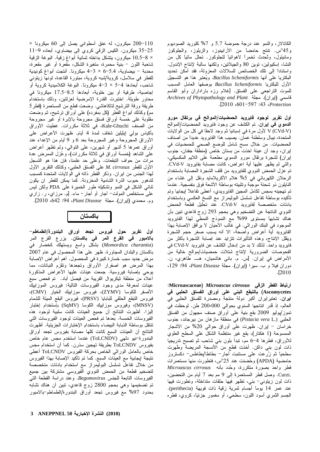الكاتالاز، والنمو عند درجة حموضة 5.7 و 7% كلوريد الصوديوم و45°س. تنتج حامضاً من الأرابينوز، والزيلوز، والجلوكوز ومانيتول، وتُحدث نخمراً لاهوائياً للجلوكوز. نحلل مائياً كل من النشا، إسكيولين، نوين 80 والجيلاتين، ولكنها سالبة لإنتاج الإندول. واستناداً إلى نلك الخصائص للسلالات المعزولة، فقد أمكن تحديد البكتريا على أنها Bacillus licheniformis. ويُعتبر هذا هو التسجيل الأول للبكتريا Bacillus licheniformis بوصفها العامل المسبب للموت النراجعي على الفسنق. [غلام رزه باراداران وأبو القاسم قاسمی (إيران). مجلة Archives of Phytopathology and Plant .[2010 .601-597 :43 .Protection

أول تقرير لوجود فايرويد الحمضيات/الموالح في برتقال مورو ا**لدموي في إيران.** تم الكشف عن وجود فايرويد الحمضيات/الموالح V (CVd-V) لأول مرة في إسبانيا ثم وجد لاحقاً في كل من الولايات المتحدة، نيبال وسلطنة عمان. يصيب هذا الفايرويد عديدًا من أصناف الحمضيات. من خلال مسح شامل للوضع الصحي للحمضيات في إيران، وجد أن عينة اخذت من بستان خاص (منطقة جفنان، جنوب إيران) لشجرة برنقال مورو الدموي مطعمة على اللايع المكسيكي، والتبي لم يظهر عليها أية اعراض، كانت مصابة بفايرويد CVd-V. نم عزل الحمض النووي للفايرويد من قلف الشجرة المصابة باستخدام الرحلان الكهربائـي فـي 5% هلام الأكريلامايد ونقل إلـى غشاء من النابلون ذو شحنة موجبة وتثبيته بوساطة الأشعة فوق بنفسجية. عندما تم تهجينه بمجس لكامل المحبين الفايرويدي، أعطى تفاعلا إيجابيا وتم تأكيده بوساطة نفاعل نسلسل البوليمراز مع النسخ العكسي وباستخدام بادئات متخصصة لفايرويد CVd-V. عند تحليل قطعة الحمض النووي الناتجة عن التضخيم وهي بحجم 293 زوج قاعدي نبين بأن هناك نشابها بمستوى 99% مع النموذج النمطي لمهذا الفايرويد الموجود في البنك الوراثي. في غالب الأحيان لا يرافق الإصابة بهذا الفايرويد أية أعراض واضحة، الا أنه يسبب صغر حجم الشجرة وبقلل الإنتاج، وهذه التأثيرات نتزايد عند إصابة الشجرة بأكثر من فايرويد واحد. لذلك لا بد من إدخال الكشف عن فايرويد CVd-V في الفحوصات الضرورية لإنتاج شنلات حمضيات/موالح خالية من الامراض في إيران. [س. م. باني هاشميان، هـــ. طاهري، ن. دوران فيلا و ب. سيرا (إيران). مجلة Plant Disease، 94: 129.  $. [2010]$ 

ارتباط الفطر الزفي Microascaceae) Microascus cirrosus: Ascomycetes) بالتبقع البني على أوراق الفستق الحلبي في ايران. تعتبرايران أكبر دولة منتجة ومصدرة للفستق الحلبي في العالم، إذ ڤدر انتاجها السنوي بحوالي 000،000 طن. لوحظت في تموز/يوليو 2009 بقع بنية على أوراق صنف مجهول من الفستق الحلبي (.Pistacia vera L) في منطقة مازهان من بيرجاند، جنوب خراسان – إيران. ظهرت على أوراق حوالـي 20% من الأشجار الممسوحة (1 هكتار)، بقع غير منتظمة الشكل على السطح العلوي للأوراق، قطرها 4–6 مم، نبدأ بلون بني شاحب ثم تصبح ندريجيا ذات لون بني داكن. أخذت قطع من الأنسجة المريضة وطهرت سطحياً ثم زُرعت على مستنبت أجار− بطاطا/بطاطس− دكستروز حامضية (APDA) وحُضنت عند 25°س، فنطورت منها مستعمرات فطر واحد بصورة متكررة، وحُدد بأنه Microascus cirrosus .Curzi. وصل قطر المستعمرة إلى 9 مم بعد 7 أيام من التحضين، ذات لون زيتوني– بني، تظهر فيها حلقات متداخلة، وتطورت فيها عند عمر 14 يوماً أجسام ثمرية زقية ذات فويهة (perithecia). الْمَجْسِمُ النَّصْرِي أَسُودُ اللَّوْنَ، سَطَّحَى، أَوْ مَغْمُورْ جَزْئِيًّا، كَرُوي، قَطْرُه

110-200 ميكرون، له عنق أسطواني يصل إلى 60 ميكروناً × 25−35 ميكرون. الكيس الزقي كروي إلى بيضاوي، أبعاده 9−11 × 8–10.5 ميكرون، يَتشكل بداخله ثمانية أبواغ زقية. البوغة الزقية شاحبة اللون – بنية محمرة، متغيرة الشكل، مقعرة أو غير مقعرة، محدبة - بيضاوية، 5.4−6 × 3−4 ميكرونا. أنتجت أبواغ كونيدية للفطر في سلاسل، كروية/شبه كروية، مبتورة القاعدة، لونها زيتوني شاحب، أبعادها 4–5 × 3–4 ميكرونا. البوغة الكلاميدية كروية أو إجاصية، طرفية أو بين خلوية، أبعادها 8.5-17.5 ميكروناً في محاور طويلة. اختبرت القدرة الإمرضية لعزلتين، وذلك باستخدام طريقة ورقة الترشيح لتاكاهاشي. وضعت قطع من المستعمرة (قطر5 مم) وكذلك أبواغ الفطر (كل بمفرده) على أوراق نرشيح، ثم وضعت مقلوبة على خمسة أوراق فستق مجروحة بالإبرة أو غير مجروحة من الصنف Kale-Ghuchi، في ثلاثة مكررات. غطيت الأوراق بأكياس بولمي إيثيلين شفاف لمدة 4 أيام. ظهرت الأعراض علمي الأوراق المجروحة وغير المجروحة بعد 6 و 9 أيام من الإعداء عند أوراق عمرها 5 أشهر أو شهرين، على النوالي، ولم نظهر أعراض على الشاهد (خمسة أوراق في ثلاثة مكررات)، وعُزل الممرض عدة مرات من حواف التبقعات. وعلى حد علمنا، فإن هذا هو التسجل الأول للفطر M. cirrosus على الفستق الحلبي، وكذلك النقرير الأول لمهذا الجنس من ايران. وذكر الفطر ذاته في الَّولايات المتحدة كمسبب لتدهور حبوب الذرة الشامية المخزونة. كما يمكن للفطر ان يكون ثنائـي الشكل فـي النمو وتشكيله طور الخميرة علـي PDA ولكن ليس علمي مستخلص المولت− أجار أو أجار− ماء. [م. مرزاي، ر. زاري وم. محمدي (إيران). مجلة Plant Disease، 94: 42: 642). [2010].



أول تقرير حول فيروس تجعد أوراق البندورة/الطماطم– **بالامبور في القرع المر في باكستان.** يزرع القرع المر (Momordica charantia) بشكل واسع ويستهلك كخضار في باكستان والبلدان المجاورة. ظهر على هذا المحصول في عام 2007 مرض جديد سبب خسارة كبيرة في المحصول. أهم أعراض الإصابة بهذا المرض هو اصفرار الأوراق وتجعدها ونقزم النباتات، مما يوحي بإصابة فيروسية. جمعت عينات عليها الأعراض المذكورة أعلاه من منطقة ثيكريوال القريبة من فيصل أباد. تم فحص سبع عينات لمعرفة مدى وجود الفيروسات النالية: فيروس الموزاييك الأصفر للكوسا (ZYMV)، فيروس موزاييك الخيار (CMV)، فيروس النبقع الحلقي للبابايا (PRSV)، فيروس البقع الميتة للشمام (MNSV)، وفيروس موزاييك الكوسا (SqMV) بإستخدام إختبار الِبزا. أظهرت النتائج أن جميع العينات كانت سلبية لوجود هذه الفيروسات الخمسة. بعدها تم فحص العينات لوجود الفيروسات التي نتنقل بوساطة الذبابة البيضاء باستخدام الإختبارات الجزيئية. أظهرت النتائج أن العينات السبع كانت كلها مصابة بفيروس نجعد أوراق البندورة–نيو دلمهي (ToLCNDV) عندما استخدم مجس عام خاص بفيروس ToLCNDV بطريقة تـهجين سذرن. كما أن استخدام مـجس خاص بالعامل الوراثي الخاص بحركة الفيروس ToLCNDV أعطى نتيجة إيجابية مع العينات السبع. كما تم تأكيد الإصابة بهذا الفيروس من خلال نفاعل نسلسل البوليمراز مع استخدام بادئات متخصصة لتضخيم قطعة من الحمض النووي الفيروسي مشتركة بين جميع الفيروسات التابعة للجنس Begomovirus. وعند دراسة القطعة التي تم تضخيمها وهي بحجم 2800 زوج قاعدي، تبين أن هناك تشابه بحدود 97% مع فيروس تجعد أوراق البندورة/الطماطم–بالامبور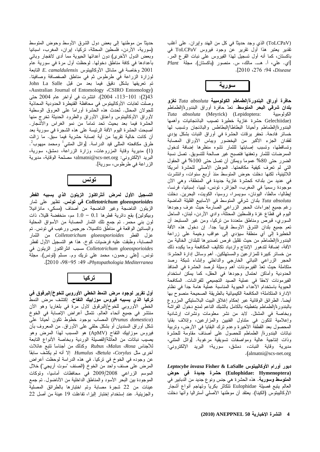(ToLCPaV) الذي وجد حديثًا في كل من المهند وإيران. على أغلب نقدير يعتبر هذا أول نقرير عن وجود فيروس ToLCPaV في باكستان، كما أنه أول تسجيل لمهذا الفيروس على نبات القرع المر. [اي. علي، أ. هـــ. مالك، س. منصور (باكستان). مجلة Plant Disease .[2010 .276 :94].

| ä.<br>سىم ، |  |
|-------------|--|
|             |  |

حافرة أوراق البندورة/الطماطم الكولومبية Tuta absoluta تغزو **بلدان شرقى البحر المتوسط.** تعدّ حافرة أوراق البندورة/الطماطم Tuta absoluta (Meyrick) (Lepidoptera: الكولومبية (Gelechiidae حشرة غازية خطيرة تصيب الباذنجانيات وأهمها البندورة/الطماطم وأحيانا البطاطا/البطاطس والباذنجان ونسبب لمها خسائر فادحة. تحفر يرقات الحشرة في أوراق النبات بشكل يؤدي لفقدان الحزء الأكبر من اليخضور ويباس الأوراق المصابة ونساقطها، ونسبب إصابتها للثمار نشوه منظرها إضافة لدخول الممرضات للثمار وتعفنها فتصبح غير صالحة للتسويق. تصل نسبة الضرر حتى 80% عموماً ويمكن أن نصل حتى 100% في الحقول التي لم تعرف كيفية مكافحتها. الموطن الأصلي للحشرة أمريكا اللَّتينية، لكنها دخلت حوض المتوسط منذ أربع سنوات، وانتشرت في عديد من بلدانه كحشرة غازية جديدة في المنطقة، وهي الأن موجودة رسمياً في المغرب، الجزائر، تونس، ليبيا، إسبانيا، فرنسا، إيطاليا، مالطا، اليونان، سويسرا، روسيا، الكويت، البحرين. دخلت Tuta absoluta بلدان شرقي المتوسط في الأسابيع القليلة الماضية رغم جميع إجراءات الحجر الزراعي الصارمة حيث عرف وجودها اليوم في قطاع غزة وفلسطين المحتلة، وادي الأردن، لبنان، الساحل السوري، قبرص ومناطق متعددة من نركيا، ومن غير المستبعد أن تعم جميع بلدان الشرق الأوسط قريبًا جدًا. إن دخول هذه الآفة الخطيرة إلى أي منطقة سيؤدي إلى عواقب وخيمة على زراعة البندور ة/الطماطم من حيث تقليل فرص تصديرها للبلدان الخالية من الأفة، إضافة لتدهور الإنتاج وازدياد تكاليف المكافحة وما يكبده ذلك من خسائر كبيرة للمزارعين والمستهلكين. أهم وسائل إدارة الحشرة: الحجر الزراعى النباتى الخارجى والداخلي وإنشاء شبكة رصد متكاملة حيث تعَّدّ الفيرمُّونات أهمَّ وسيلة لرصد الحشرة في المنافذ الحدودية وأماكن احتمال وجودها في الحقل، كما يمكن استخدام الفير مونات لاحقًا في عملية الصيد التجميعي للفراشات. المكافحة الحيوية باستخدام الأعداء الحيوية المناسبة عملية هامة جدأ في نظام الإدارة المتكاملة؛ المكافحة الكيميائية بالطريقة الصحيحة منصوح بها أيضاً. الطرائق الوقائية عبر إحكام إغلاق الببيت البلاستيكي المزروع بالبندورة/الطماطم بتغطيته بالكامل بالشبك الناعم لمنع دخول الفراشة وبخاصة في المشتل. لابد من نشر معلومات ونشرات إرشادية وإعلامية لنكون في منتاول الفنيين والمزارعين، وإنلاف بقايا المحصول بعد القطفة الأخير ة وعدم نرك البقايا في الأرض، ونربية نباتات البندورة/ الطماطم للحصول على أصناف مقاومة للحشرة وذات إنتاجية عالية ومواصفات نسويقية مرغوبة. [وائل المنتبي، مديرية وقاية النبات، دمشق، سورية؛ البريد الإلكتروني:  $\cdot$ (almatni@scs-net.org

لدبور أورام الأوكاليبتوس Leptocybe invasa Fisher & LaSalle (Eulophidae: Hymenoptera) حشرة جديدة في حوض ا**لمتوسط وسورية.** هذه الحشرة هي جنس ونوع جديد من الدبابير في العالم بنبع فصللة Eulophidae نتكاثر بكرياً ونهاجم أنواع أشجار الأوكاليبنوس (الكينا). يعتقد أن موطنها الأصلبي أستراليا وأنها دخلت

حديثًا من موطنها إلى بعض دول الشرق الأوسط وحوض المتوسط (سورية، الأردن، فلسطين المحتلة، نركيا، إيران، المغرب، اسبانيا وبعض الدول الأخرى) دون أعدائها الحيوية مما أدى لانفجار وبائي بأعدادها في كافة مناطق دخولها. لوحظت أول مرة في سورية عام 2001 وخاصة في مشانل الأوكاليبنوس E. camaldulensis التابعة لموزارة الزراعة في طرطوس ثم في مناطق الصفصافة وصافيتا. تم تعريفها بشكل دقيق فيما بعد من قبل John La Salle «Australian Journal of Entomology «CSIRO Entomology) 2)43): 101−113، 2004). انتشرت في أواخر عام 2004 حتى وصلت لغابات الأوكاليبتوس في محافظة القنيطرة الحدودية المحاذية للجولان المحنل. تُحدث هذه الْحشرة أوراماً على العروق الوسطية لأوراق الأوكاليبتوس وأعناق الأوراق والطرود الحديثة تخرج منها الحشرة فيما بعد بحيث تحد تماماً من نمو الغراس والأشجار. أصبحت الحشرة اليوم الأفة الرئيسة على هذه الشجرة في سورية بعد أن كانت خالية تقريبًا من أية إصابة حشرية فيما سبق. ما زالت طرق مكافحته المثلي قيد الدراسة. [وائل المتني<sup>1</sup> ومحمد ميهوب<sup>2</sup>. (1) مديرية وقاية المزروعات، وزارة الزراعة، دمشق، سورية، البريد الإلكتروني: almatni@scs-net.org؛ مصلحة الوقاية، مديرية الزراعة في طرطوس، سورية].



التسجيل الأول لمرض أنثراكنوز الزيتون الذي يسببه الفطر Colletotrichum gloeosporioides في تونس. تظهر على ثمار الزينون الناضجة وغير الناضجة من أصناف (مسكي، مانزانيلا وبيكولين) بقع دائرية قطرها 0.1 – 1.0 مم، منخفضة قليلا، ذات لون بني محمر . تم جمع نلك الثمار المصابة من الأسواق المحلية والبسانين الواقعة في مناطّق ناكسيلا، جرجيس ورغيب في نونس. تم عزل الفطر Colletotrichum gloeosporioides من النمار المصابة، وطبقت عليه فرضيات كوخ. هذا هو التسجيل الأول لفطر Colletotrichum gloeosporioides مسبب انثراكنوز الزيتون في نونس. [علي رحمون، محمد علـى نريك وم. مسلم (نونس). مجلَّة .[2010 .98-95 :49 .Phytopathologia Mediterranea



أول تقرير لوجود مرض النمط الخطى الأوروبي للخوخ/البرقوق في **تركيا الذي يسببه فيروس موزاييك التفاح.** إكتشف مرض النمط الُخطي الأوروبي للُخوخ/البرقوق لاول مرة في بلغاريا وهو الأن منتشر في جميع أنحاء العالم. نتمثل أعراض الإصابة في الخوخ (Prunus domestica) المصاب بوجود خطوط نكون أحياناً على شكل أوراق السنديان أو بشكل حلقى على الأوراق. من المعروف بأن فيروس موزاييك النفاح (ApMV) هو المسبب لمهذا المرض وهو يصيب نباتات من العائلة/الفصيلة الوردية وبخاصة الأنواع التابعة للأجناس Rubus ،Malus ،Rosa وكذلك من أجناساً نتبع عائلات أخرى مثل Getula ،Corylus، وHumulus إلا أنه لم يكشف سابقاً عن وجوده في الخوخ في نركيا. في هذه الدراسة لوحظت أعراض المرض على صنف واحد من الخوخ (الصنف "سوت أريجي") خلال الموسم الزراعي 2009/2008 في محافظات أماسيا، ونوكات الموجودة بين البحر الأسود والمناطق الداخلية من الأناضول. تم جمع عينات من 22 شجرة مصابة وتم اختبارها بالطرائق المصلية والجزيئية. عند إستخدام إختبار إليزا، تفاعلت 19 عينة من أصل 22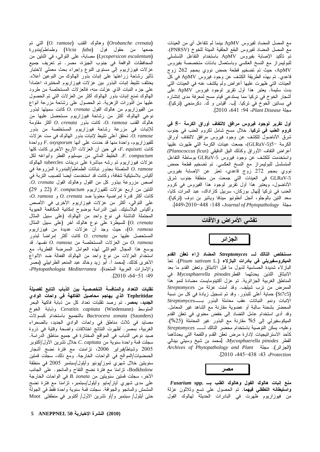مع المصل المضاد لفيروس ApMV بينما لم نتفاعل أي من العينات مع المصل المضاد لفيروس البقع الحلقية الميتة للخوخ (PNRSV). تم تأكيد الإصابة بفيروس ApMV باستخدام التفاعل التسلسلي للبوليمراز مع النسخ العكسي وباستعمال بادئات متخصصة بفيروس ApMV، حيث تم تضخيم قطعة حمض نووي بحجم 262 زوج قاعدي. تم بهذه الطريقة الكشف عن وجود فيروس ApMV في كل العينات التي ظهرت عليها أعراض ولم يكشف عنه في العينات التي بدت سليمة. يعتبر هذا أول نقرير لوجود فيروس ApMV على أشجار الخوخ في نركيا مما يستدعي قيام مسح لمعرفة مدى إنتشاره في بساتين الخوخ في تركيا. [ب. أقياس و ك. دكرمنجي (تركيا). محلة Plant Disease، 12010، 641.

أول تقرير لوجود فيروس مرافق لالتفاف أوراق الكرمة –5 في **كروم العنب في تركيا.** خلال مسح شامل لكروم العنب في جنوب شرق الأناضول للكشف عن وجود فيروس مرافق لالتفاف أوراق الكرمة –5(GLRaV-5)، جمعت عينات الكرمة التي ظهرت عليها أعراض النفاف الأوراق وكذلك البق الدقيقى (Planococcus ficus) واستخدمت للكشف عن وجود فيروس GLRaV-5 بوساطة التفاعل المتسلسل للبوليمراز مع النسخ العكسي. تم تضخيم قطعة حمض نووي بحجم 272 زوج قاعدي، تعبّر عن الإصابة بفيروس GLRaV-5 في العينات التي جمعت من منطقة جنوب شرق الأناضول، ويعْتبر هذا أول نقرير لموجود هذا الفيروس في كروم العنب في نركيا [نهال بوزكان، سربيل كاراداك، عبد المرات كايا، سعد النَّين بالوجلو، أنجل أنطونيو مينافا ويائير بن دوف (تركيا). محلة Journal of Phytopathology .149.2010-448.

تفشى الأمراض والأفات

الجز ائر

مستخلص التالك لــــ Streptomyces المضاد إزاء تعفّن القدم الميكروسفيريلي في بادرات البازلاء (.Pisum sativum L). نعدّ الباز لاء شديدة الحساسية لذبول ما قبل الانبثاق وتعفن القدم ما بعد الانبثاق اللذين يحدثهما الفطر Mycosphaerella pinodes في المناطق الغربية الجزائرية. تم عزل أكتينومايست مضادة لنمو هذا الممرض من نرب شيليف. وقد أمنت عزلة من Streptomyces (St7c5) حماية أعلى للبذور . وقد تم تسجيل زيادة في كل من نسبة الإنبات ونمو النباتات عقب معاملة البذور بــــــStreptomyces المحضَّر بشحنة سالبة أو عضوية مقارنة مع الشاهد غير المعامل. وقد أدى استخدام عامل التضاد إلى خفض معنوي في تعقن القدم المُبِكوسفيرلي إلى 5% مقارنة مع البذور غير المعاملة (25%). وعليه، بمكنّ التوصية باستخدام محضر التالك لــــــ Streptomyces كأحد الاستراتيجيات لإدارة مرض نعقن القدم واللفحة التي يحدثاهما الفطر Mycosphaerella pinodes. [محمد بن شيخ وسيتي بينالي Archives of Phytopathology and Plant (الجزائر). مجلة Protection (2010 .445-438 :43 .Protection

| مصب |
|-----|
|     |

منع إنبات هالوك الفول وهالوك القنب بــ .Fusarium spp وا**ستيطانه التطفلي فيهما.** تم الحصول على تسع وثلاثون عزلة من فيوزاريوم ظهرت في البادرات الحديثة لهالوك الفول

وهالوك القنب (O. ramose) وهالوك القنب (O. ramose) التبي تم جمعها من حقول فول (Vicia faba) وطماطم/بندورة (Lycopersicon esculentum) مصابة، على النوالي، في اثنتين من المحافظات الواقعة في جنوب الجيزة، مصر . تم تعريف جميع عزلات فيوزاريوم إلىي مستوى النوع وإجراء بحث معملي لاختبار تَأْثَيْرِ رَشَاحَةً زَرَاعَتُهَا عَلَى إنباتٌ بَذُورِ الْهَالُوكَ مَنِ النَّوْعِينِ أَعْلَاهُ. يختلف تثبيط إنبات البذور بين عزلات فيوزاريوم المختبرة، اعتماداً على جزء النبات الذي عزلت منه، فالعزلات المستخلصة من طرود المهالوك تمنع إنبات بذور المهالوك أكثر من العزلات التي تم الحصول عليها من النورات الزهرية. تم الحصول على رشاحة مزرعة أنواع من الفيوزاريوم من هالوك الفول O. crenata عانت سميتها لبذور نوعي الهالوك أكثر من رشاحة فيوزاريوم مستحصل عليها من للإنبات في مزرعة رشاحة فيوزاريوم المستخلصة من بذور O. ramose. نحقق أعلى نثبيط لإنبات بذور المهالوك في ست عزلات للفيوزاريوم، واحدة منها قد حددت علمي أنها F. oxysporum وواحدة كانت F. equiseti، في حين أن العزلات الأربع الأخرى كانت كلها F. compactum. الخليط المائي من ميسليوم الفطر وأبواغه لكل عزلات فيوزاريوم نم رشه مباشرة على درينات tubercles الـهالوك البندورة المزروعة في D. ramose أكياس بلاستيكية شفافة، وكانت قد استخدمت أيضا لتصبيب التربة في أصص مزروعة ببذور كل من الفول وهالوك الفول O. crenata. اثنتين من أربع عزلات للفيوزاريوم F. compactum (29 و 29)  $O.$  ramosa و  $O.$  ramosa و  $O.$  ramosa و المراضية معنوياً ضد  $O.$ على النوالي، أكثر من عزلات فيوزاريوم الأخرى في الأصص وأكياس البلاستيك. تبين الدراسة بوضوح إمكانية المكافحة الحيوية المحتملة الناشئة في نوع واحد من الْهالوك (على سبيل المثال O. crenata) للسيطرة على نوع هالوك أخر (على سبيل المثال O. ramosa)، حيث وجد أن عزلات عديدة من فيوزاريوم المستحصل عليها من O. crenata كانت أكثر إمراضاً لبذور من العزلات المستخلصة من O. ramosa من العزلات المستخلصة من  $O.$  ramosa يوسع هذا المجال العوائلي لمهذه العوامل الممرضة الفطرية، مع استخدام العزلات من نوع واحد من الهالوك الفعالة ضد الأنواع الأخرى كذلك. [محمد أ. أبو زيد وخالد عبد المنعم الطرابيلي (مصر والإمارات العربية المتحدة). Phytopathologia Mediterranea،  $. [2010.64 - 51.49]$ 

تقلبات التعداد والمنافسة التخصصية بين الذباب التابع لفصيلة Tephritidae الذي يهاجم محاصيل الفاكهة في واحات الوادي ا**لجديد، بمصر.** تم رصد نقلبات تعداد كل من ذبابة فاكهة البحر المتوسط Ceratitis capitata (Wiedemann) وذبابة الخوخ Bactrocera zonata (Saunders) بالتجميع باستخدام كبسولات مصايد في ثلاث مناطق في واحات الوادي الجديد، بالصحراء الغربية، بمصر . أظهرت النتائج اختلافات واضحة وقتية في ذروة صيد نوعي الذباب في المواقع المختارة في جميع مناطق الدراسة. سجلت قمة واحدة سنوية من C. capitata خلال تشرين الأول/أكتوبر 2005 وشباط/فبراير 2006، نزامنت مع فنرة نضج أشجار الحمضيات/الموالح في الواحات الخارجة. ومع ذلك، سجلت قمتين سنويتين خلال شهري تموز /يونيو وأيلول/سبتمبر 2005 في منطقة Bodkholow، نزامنا مع فترة نضج التفاح والمانجو. على الجانب الآخر ، سجلت قمتين سنويتين من B.  $zonata$  في الواحات الخارجة على مدى شهري أيار/مايو وأيلول/سبتمبر، نزامنا مع فترة نضج المشمش والمانجو والجوافة. سجلت قمة سنوية واحدة فقط في الجولة حتى أيلول/ سبتمبر و/أو تشرين الأول/ أكتوبر في منطقتي Moot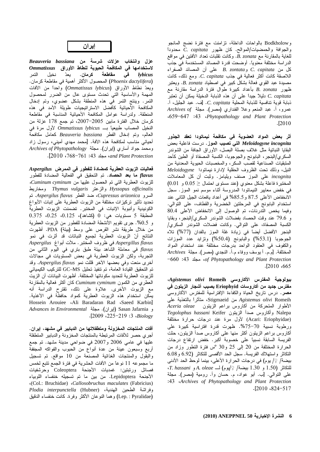وBodkholow بالواحات الداخلة، نزامنت مع فنرة نضج المانجو والجوافة والحمضيات/الموالح. كان ظهور C. capitata محدوداً للغاية بالمقارنة مع B. zonata. وكانت نقلبات نعداد الأفتين في مواقع الدراسة مختلفة معنوياً. أوضحت قدرة المصائد المستخدمة في جذب كل من C. capitata و B. zontata على أن المصائد الصفراء اللاصقة كانت أكثر فعالية في جذب C. capitata. ومع ذلك، كانت مصنيدة عبد القوي فعالة بشكل كبير في اصطياد B. zonata. ويعتبر ظهور B. zonata بأعداد كبيرة طوال فترة الدراسة مقارنة مع C. capitata دليلاً جيداً على أن هذه الذبابة الدخيلة يمكن أن تعتبر ذبابة قوية نتافسية للذبابة المحلية C. capitata. [ف. عبد الجليل، أ. عمرو، أ. عبد المنعم وعلا الفنداري (مصر). مجلة Archives of .659-647 :43 .Phytopathology and Plant Protection  $-2010$ 

أثر بعض المواد العضوية ف*ي* مكافحة نيماتودا تعقد الجذور Meloidogyne incognita التى تصيب الموز. درست فاعلية بعض البقايا النباتية مثل غلاف بصلة البصل، الأوراق الجافة من الشوندر السكرى/البنجر، البابونج والجوجوبا، الكسبة المصفاة أو الطين كأحد المتبقيات الصناعية لقصب السكر، والمخصبات الحيوية المعدنية من النيل، وذلك نحت الظروف الحقلية لإدارة نيماتودا Meloidogyne incognita على الموز صنف ويليامز. وثبت أن كل المعاملات المختبرة فاعلة بشكل معنوي (عند مستوى احتمال $0.05 \geq 0.00$  و  $(0.01)$ في خفض معايير النيماتودا المدروسة أثناء موسم نمو الموز. سجل الانخفاض الأعلى 87.5 و85.5% في أعداد يافعات الجيل الثاني عند استخدام البابونج في المرحلتين الخضرية والقطاف، على التوالي. وفيما يخص التدرنات، تم الوصول إلى الانخفاض الأعلى 80.4 و 79.6 عند وقت الحصاد بفضلات الشوندر السكرى/البنجر ، وبقايا الكسبة المصفاة، على النوالي. وكانت فضلات الشوندر السكري/ البنجر الأفضل أيضاً في زيادة غلة الموز بالفدان (77%) تلاه الجوجوبا (53.1%) والبابونج (50.4%) وتزايد عدد الموزات والكفوف في العنقود الواحد بدرجات مختلفة عند استخدام المواد المختلفة. [م.ّم. أ يوسف ووفاء م.أ. النجدي (مصر). مجلة Archives -660 :43 cof Phytopathology and Plant Protection  $. [2010, 665]$ 

بيولوجية المفترس الأكاروسي Agistemus olivi Romeih، مفترس جديد من أكاروسات Eriophyid يصيب أشجار الزيتون في **مصر .** درس ناريخ الحياة والكفاءة الإفتراسية للمفترس الأكاروسي Agistemus olivi Romeih من Stigmaeid، متأثراً بالتغذية على الأطوار المتحركة من أكاروس براعم الزيتون Aceria oleae Tegolophus hassani Keifer وأكاروس صدأ الزيتون Nalepa (Acari: Eriophyidae) لأول مرة عند درجات حرارة مختلفة ورطوبة نسبية 70–75%. ظهرت قدرة افتراسية كبيرة على أكاروس براعم الزينون أكثر منها على أكاروس صدأ الزينون، حثت الفريسة السابقة نسبياً على خصوبة أكبر. خفض ارتفاع درجات الحرارة المختلفة من 20 إلى 25 و30 °س فترة النطور وزاد من النكاثر واستهلاك الفريسة. سجل الحد الأقصمي للنكاش (6.92 و6.08 بيضة/ ♀/ يوم) في درجات الحر ارة الأعلى، بينما لوحظ الحد الأدنى  $\cdot$ r. hassani و 1.30 بيضة/ $\frac{1}{7}$ بوم) لــ A. oleae للتكاثر (1.50 بيضة/ عليي التوالي. [ب. أبو عواد، م. حسان وأ. رومية (مصر). مجلة :43 Archives of Phytopathology and Plant Protection  $. [2010.824 - 517]$ 

عزل وانتخاب عزلات شرسة من Beauveria bassiana لاستخدامها في المكافحة الحيوية لنطاط الأوراق Ommatissus lybicus في م**قاطعة ك**رمان. يعدّ نخيل التمر (Phoenix dactylifera) المحصول الأكثر أهمية في مقاطعة كرمان. ويعدّ نطاط الأوراق (Ommatissus lybicus) واحداً من الأفات المهمة والأساسية التي تحدث مستوى عال من الضرر لمحصول النَّمر. وينتج النَّمر في هذه المنطقة بشكل عضوي، ونم إدخال المكافحة الأحيائية كأفضل الاستراتيجيات طويلة الأمد في هذه المنطقة. ولدراسة عوامل المكافحة الأحيائية المناسبة في مقاطعة كرمان خلال الفترة مابين 2005–2007، تم جمع 178 عزلة من النخيل المصاب طبيعياً بـــ Ommatissus lybicus لأول مرة في العالم، ونم إدخال الفطر Beauveria bassiana كعامل مكافحة أحيائي مناسب لمكافحة هذه الأفة. [محمد مهدي أميني، رسول زاد ومحمد جواد أساري (إيران). مجلة Archives of Phytopathology and Plant Protection، مجلد 43: 761-768، 2010].

فعاليات الزيوت العطرية كمضادة للفطور في الممرض Aspergilus flavus ما بعد الحصاد. تم التحقيق في الفعالية المضادة للفطور للزيوت العطرية التي تم الحصول عليها من Cuminum cyminum، Hyssopus officinalis والزعتر Thymus vulgaris ومخاريط السرو Cupressus arizonica، ضد الفطر Aspergilus flavus. تم تحديد تأثير تركيزات مختلفة من الزيوت العطرية على إنبات الأبواغ الكونيدية وأنبوبة الإنبات في المختبر. تضمنت الزيوت العطرية المطبقة 5 مستويات هي: 0 (كشاهد)، 0.125، 0.375 0.375 و 0.5%. جرى نقويم الأنشطة المضادة للفطور من الزيوت العطرية من خلال طريقة نشر القرص على وسط (بيئة) PDA. أظهرت النتائج أنّ الزيوت العطرية لجميع النباتات قد أثرت في نمو Aspergillus flavus في ظروف المختبر . ملأت أبواغ Aspergilus flavus في معاملة الشاهد بيئة طبق بتري في اليوم الثاني من النجربة، ولكن الزيوت العطرية في بعض المستويات في مجالات أخرى منعت وفي بعضها الأخر قللت نمو Aspergilus flavus. وقد تم التحقيق القيادة العامة، تم تتفيذ تحليل GC-MS للتركيب الكيميائي للزيوت العطرية لتحديد مكوناتها المختلفة. أظهرت البيانات أن الزيت العطري من الكمون Cuminum cyminum كان أكثر فعالية بالمقارنة مع الزيوت الأخرى. علاوة على ذلك، تقترح الدراسة أنه يمكن استخدام هذه الزيوت العطرية كمواد حافظة في الأغذية. Hossein Arouiee .Ali Baradaran Rad .Saeed Karbin] و Sasan Jafarnia (إيران). مجلة Advances in Environmental .[2009  $.225 - 219 : 3$  *Biology* 

آفات المنتجات المخزونة ومتطفلاتها من الدبابير في مشهد، إيران. أجرى حصر للأفات المرتبطة بالمنتجات المخزونة والدبابير المنطفلة عليها في عامي 2006 و2007 في ضواحي مدينة مشهد. تم جمع أربع وسبعون عينة من عدة أنواع من الحبوب والفواكه المجففة والبقول والمنتجات الغذائية المصنعة من 10 مواقع. تم تسجيل ما مجموعه 11 نوعاً من الآفات الحشرية في فترة الجمع تتبع لخمس فصائل ورتبتين: غمديات الأجنحة Coleoptera وحرشفيات الأجنحة Lepidoptera. من بين ما تم تسجيله خنفساء اللوبياء (Col.: Bruchidae) (Callosobruchus maculates (Fabricius) وفراشة الطحين الهندية، (Hubner) Plodia interpunctella (Lep. : Pyralidae) وهما النوعان الأكثر وفرة. كانت خنفساء الدقيق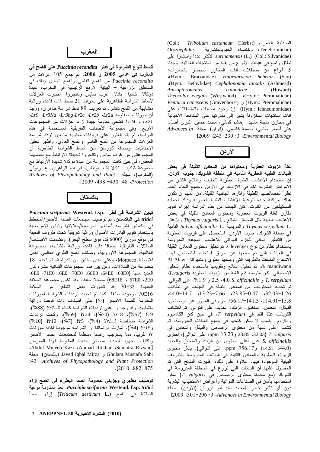$(Col.$ Tribolium castaneum (Herbst) الصدئية الحمراء Oryzaephilus (Tenebrionidae، وخنفساء الحبوبالمنشارية surinamensis (L.) (Col.: Silvanidae) الأكثر عدداً وانتشاراً على نطاق واسع في عينات الأنواع من بقية من المنتجات الغذائية. وجدنا 5 أنواع من متطفلات أفات المخازن نتحصر بالحشرات: (Hym.: Braconidae) Habrobracon hebetor (Say) (Hym.: Bethylidae) Cephalonomia tarsalis (Ashmead) Anisopteromalus calandrae (Howard) Theocolax elegans (Westwood) (Hym.: Pteromalidae) (Hym.: Pteromalidae) و Venturia canescens (Gravenhorst) (Hym.: Ichneumonidae). إنّ وجود إصابات بالمنطفلات على أفات المنتجات المخزونة يشير إلى مقدرتها على المكافحة الأحيائية في مخازن مدينة مشهد. [هاشم كمالي، محمد حسين أكبري أصل، علي أصغر طالبي، وسمية كاظمي. (إيران). مجلة Advances in .[2009  $\cdot$ 243-239 :3  $\cdot$ Environmental Biology

|--|

غلة الزيوت العطرية ومحتواها من المعادن الثقيلة فى بعض النباتات الطبية العطرية النامية في منطقة الشوبك، جنوب الأردن. إن استخدام الأعشاب الطبية العطرية لتخفيف وعلاج الكثير من الأمراض البشرية أخذ في الازدياد في الأردن وجميع أنحاء العالم نظرٍ ا لخصائصها اللطيفة وأثارِ ها الجانبية القليلة. من المهم أن نكون هناك مراقبة جيدة لنوعية الأعشاب الطبية العطرية وذلك لحماية المستهلكين من التلوث. كان الهدف من هذه الدراسة إجراء تقويم مقارن لغلة الزيوت العطرية ومحتوى المعادن الثقيلة في بعض الأعشاب الطبية مثل الصعتر الشائع ,Thymus vulgaris L والزعتر .Fhymus serpyllum L والمريمية .Salvia officinallis L النامية في منطقة الشوبك، جنوب الأردن. استحصل على الزيوت العطرية منّ النقطير المائى للجزء الهوائى للأعشاب المجففة المدروسة باستخدام نظام من نوع Clevenger. تم تحليل محتوى المعادن الثقيلة في العينات التي تم جمعها عن طريق استخدام امتصاص لهب الإشعاع المنبعث بالطريقة التى وصفها العلوي ومنديوانا Al-Alawi & mandiwana. تم تحليل النتائج وتقويمها باستخدام نظام التحليل الإحصائي. كان متوسط قيم الغلة من الزيوت العطرية T.vulgaris، T. serpyllum و 4.0 S. officinallis و 1.9%، على النوالمي. تم تحديد المحتويات من المعادن الثقيلة في العينات في نطاقات  $.44.0-14.7$   $.13.23-7.66$   $.23.85-0.47$   $.32.03-1.26$ 114.91-15.8، 114.91-756.17 جزء في المليون عن الرصاص، النيكل، النحاس، المنغنيز، الزنك، الحديد، على النوالي. تم اكتشاف الكوبالت Co فقط في T. serpyllum، في حين كان الكادميوم والكروم بنسب لا يمكن كشفها في جميع العينات المدروسة. تم كشف أعلى نسبة من محتوى الرَّصاصُّ والنيكل والنحاس فيَّ ppm 13.23 و 13.23، 13.85 به ppm 13.23 على النوالي)، احتوى S. officinallis على أعلى محتوى من الزنك والمنغنيز والحديد ppm 756.17 و 756.17 ppm على النوالبي). يتأثَّر محتوى الزيوت العطرية والمعادن الثقيلة فى النباتات المُدَروسة بالظروف البيئية الموجودة فيها. علاوة على ذلك، أظهرت النتائج التي تم الحصول عليها أن النباتات التي نزرع في المنطقة المدروسة في الشوبك (مع محاباة محتوى الرصاص في T. vulgaris) بمكن استخدامها بأمان فى الصناعات الدوائية وأغراض الاستطباب البشرية دون أي تأثير خطر. [محمد سند أبو درويش (الأردن). مجلة .[2009 .301-296 :3 .Advances in Environmental Biology



أنماط تنوّع الضراوة في فطر Puccinia recondita على القمح في المغرب في عامي 2005 و 2006. تم جمع 105 عزلات من Puccinia recondita من القمح القاسي والقمح العادي وذلك في المناطق الزراعية – البيئية الأربع الرئيسية في المغرب، عبدة دوكالا، شاديا– تادلا، غرب سايس وتانجروا. اختبرت العزلات لأنماط الشراسة الظاهرية علىي بادرات 21 صنفًا ذات قاعدة وراثية متشابهة من القمح ناتشر . نم نعريف 89 نمط شراسة ظاهري، ووجد أن مورثات المقاومة Lr2b ،Lr2b، Jr3Ka ،Lr3bg،Lr2c ،Lr2b، Lr21 و Lr24 نضفى مقاومة جيدة إزاء العزلات من المجموعات الأربع. وفي مجموعة الأصناف التفريقية المستخدمة في هذه الدراسة، لم يتم العثور على فروقات معنوية ما بين نردّد شراسة العزلات المجموعة من القمح القاسي والقمح العادي. وأظهر نحليل الإحداثيات ومسافة كوزمان بين أنماط الشراسة الظاهرية أن المجموعتين من غرب سايس ونانجروا شديدنا الإرتباط مع بعضهما البعض، في حين كانت المجموعة من عبدة دوكالا شديدة الإرتباط مع مجموعة شَاديا – نادلا [ف. بونتاس، ابراهيم الزاهري، ع. زيوتـي Archives of Phytopathology and Plant (المغرب)، مجلة ) .[2009 .438 -430 :48 *Protection* 



Puccinia striformis Westend. f.sp. تباين الشراسة في فطر tritici في الباكستان. تم توصيف مجتمعات الصدأ الأصفر/المخطط في باكستان لشراسة أنماطها المرضية/سلالاتها وتباين الإمراضية باستخدام نقويم البادرات لأصول وراثية نفريقية تحت ظروف الدفيئة في موقع مورِّي (6000 قدم فوق سطح البحر). وتضمنت الأصناف/ السَّلالاتّ التفريقية أصنافاً ذات قاعدة وراثية متشابهة، المجموعة العالمية، المجموعة الأوروبية، وصنف القمح الطري العالمي القابل للإصابة Morocco، وعلى مدى سنتين من الدراسة، تم تحديد 18 مجموعة من السلالات، ومن بين هذه المجموعات الثمانية عشر ، كان العديد منها (68E0 ،64E0 ،64E0 ،68E0 ،65E0 ،6E0 ،71E0 ،6E0 ،70E0 2E0، 67E0 و 68E16) مسجلاً سابقاً. وقد نكون مجموعة السلالة الجديدة 70E32 قد نطورت بفعل النطقر من السلالة 0E16الموجودة سابقاً. كما تم تحديد نرددات الشراسة لمورثات المقاومة للصدأ الأصفر (Yr) على أصناف ذات قاعدة وراثية منتشابهة. وقد وجد أن أعلى نرددات الشراسة كانت للــ7r7 (88%)، *Yr*24 (1%70) *Yr24 (9*69)، *Yr24 (969)*، وكانت ترددات و Yr15 (4%). أشارت در اساننا أن الشراسة موجودة لكافة مورثات Yr نقريباً، مما يستوجب رصداً منتظماً لمجتمعات الصدأ الأصفر وتكثيف الجهود لتحديد مصادر جديدة للمقاومة لهذا الممرض «Abdul Mujeeb Kazi «Ahmad Iftikhar «Sumaira Rizwan] Ghulam Mustafa Sahi و Javed Iqbal Mirza (باكستان). مجلة :43 Archives of Phytopathology and Plant Protection  $. [2010.882 - 875]$ 

توصيف مظهري وجزيئي لمقاومة الصدأ البطيء في القمح إزاء Puccinia striformis Westend. f.sp. tritici. نعدّ المقاومة نوعية السلالة في القمح (Triticum aestivum L.) إزاء الصدأ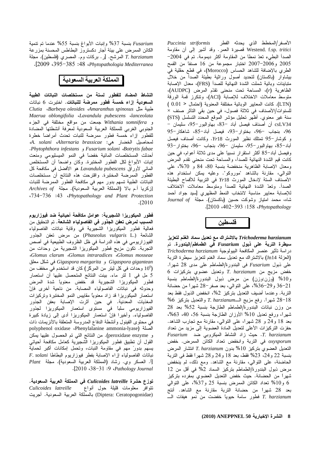الأصفر/المخطط الذي يحدثه الفطر Puccinia striformis Westend. f.sp. *tritici* قصبيرة العمر. وقد أشير إلى أن مقاومة الصدأ البطيء تعدّ نمطاً من المقاومة أكثر ديمومة. تم في 2004-2005 و2006–2007 اختبار مجموعة من 16 صنفاً من القمح الطرى بالإضافة للشاهد الحساس (Morocco)، في قطع حقلية في بيشاوار (باكستان) لتحديد أصول وراثية بطيئة الصدأ من خلال متباينات وبائية شملت الشدة النهائية للصدأ (FRS)، معدل الإصابة الظاهرية (r)، المساحة تحت منحنى نقدّم المرض (AUDPC)، متوسط معاملات الاختلاف للإصابة (ACI)، وتتكرز قمة الورقة (LTN). كانت المعايير الوبائية مختلفة المعنوية (احتمال < 0.01 ) للسنو ات/الأصناف في ثلاثة فصول، في حين بقي التآثر صنف × سنة غير معنوي. أظهر تحليل مؤشر الموقع المحدد التسلسل (STS) csLV34 أن أصناف فيصل أباد −83، بـهاوالبور−95، سليمان − 96، بنجاب -96، بختوار-93، فيصل أباد-85، شاهكار-95 و كوشار-95 تمثلك نظير المورث Yr18. وكانت أصناف فيصل أباد−85، بهاوالبور−95، سليمان −96، بنجاب −96، بختوار−93 وفيصل أباد−85 أكثر استقرار نسبيًا على مدى ثلاثة أعوام، في حين كانت قيم الشدة النهائية للصدأ، والمساحة تحت منحني تقدم المرض ومعدل الإصابة الظاهرية منخفضة بنسبة 80، 84 و 70%، على النوالي، مقارنة بالشاهد "موروكو". وعليه يمكن استخدام هذه الأصنَّاف الستة لإدخال المورث Yr18 في التربية للأقماح البطيئة الصدأ. وتعدّ الشدة النهائية للصدأ ومتوسط معاملات الاختلاف للإصابة معايير مناسبة لانتخاب النمط المظهري [سيد جواد أحمد شاه، محمد امتياز وشوكت حسين (باكستان). مجلة Journal of .[2010 .402-393 :158 .Phytopathology

فلسطين

Trichoderma harzianum بالاشتراك مع تعديل سماد الغفم لتعزيز سيطرة التربة على ذبول Fusarium في الطماطم/البندورة. تم در اسة نأثير عنصر المكافحة البيولوجية Trichoderma harzianum (العزلة Jn14) بالاشتراك مع تعديل سماد الغنم لتعزيز سيطرة التربة علىي ذبول Fusarium في البندورة/الطماطم على مدى 28 شهراً. 6 نفض مزيج من T. harzianum وتعديل عضوي بتركيزات و10% (وزن:وزن) من مرض ذبول البندورة/الطماطم بنسبة 31−36 و29−36%، على النوالي، بعد صفر −28 شهراً من حضانة التربة. وعندما أضبف التعديل بتركيز 2%، انخفض الذبول فقط بعد 18–28 شهرًا. رفع مزيج الـــm. harzianum والنعديل بنركيز 6% من وزن نباتات البندورة/الطماطم الطازجة بنسبة 52% بعد 28 شهراً، ورفع تعديل 10% الأوزان الطازجة بنسبة 56، 40، 63%، بعد 18 و24 و 28 شهراً، على النوالي، مقارنة مع نجارب الشاهد. حفزت التركيزات الأعلى لتعديل المادة العضوية إلى مزيد من تعداد Fusarium . حيث زاد النشاط الميكروبي ضد Fusarium في التربة وانخفض تعداد الكائن الممرض. خفض النعديل العضوي بتركيز 10% بدون T. harzianum انتشار المرض بنسبة 22 و24، 23% فقط، بعد 18 و24 و28 شهراً فقط فـي النربة الحاضنة، على التوالي، مقارنة مع الشاهد. ومع ذلك، لم ينخفض مرض ذبول البندورة/الطماطم بتركيز السماد 2% في أقل من 12 شهراً من الحضانة. حيث خفض التعديل العضوى بمفرده بتركيز 6 و10% نعداد الكائن الممرض بنسبة 25 و37%، على النوالي بعد 28 شهراً من حضانة التربة مقارنة مع الشاهد. أنتج T. harzianum فطور سامة حيوياً خفضت من نمو هيفات الــــ

Fusarium بنسبة 37% وإنبات الأبواغ بنسبة 55% عندما تم نتمية الكائن الممرض على بيئة أجار دكستروّز البطاطس المحسنة بمزرعة T. harzianum المرشح. [ر . بركات وم. المصري (فلسطين). مجلة .[2009 .395-385 :48 .Phytopathologia Mediterranea

# المملكة العربية السعودية

النشاط المضاد للفطور لستة من مستخلصات النباتات الطبية السعودية إزاء خمسة فطور ممرضة للنباتات. اختبرت 6 نباتات Clutia «Barbeya oleoides «Amaranthus spinosus طبية مثل Maerua oblongifolia «Lavandula pubescens «lanceolata و Withania somnifera جمعت من مواقع مختلفة في الجزء الجنوبي الغربي للمملكة العربية السعودية لمعرفة أنشطتها المضادة للفطور إزاء خمسة فطور ممرضة للنبات نحدث أمراضا خطرة لمحاصيل الخضار هي: A. solani Alternaria brassicae .Phytophthora infestans و Fusarium solani Botrytis fabae أحدثت المستخلصات المائية خفضاً في النمو الميسليومي ومنعت إنبات الأبواغ لكل الفطور المختبرة. وكان واضحاً أن المستخلص المائي لأوراق Lavandula pubescens هو الأفضل في مكافحة كل الفطور الممرضة المختبرة. واقترحت هذه النتائج أن مستخلصات النباتات الطبية تسهم بدور مهم في مكافحة الفطور الممرضة للنبات [زكريا أ.م بالا (المملكة العربية السعودية). مجلة Archives of <734-736 :43 <Phytopathology and Plant Protection  $. [2010]$ 

فطور الميكوريزا الشجيرية: عوامل مكافحة أحيائية ضد فيوزاريوم المسبب لمرض تعفن الجذور في الفاصولياء الشائعة. تم التحقيق من فعالية فطور الميكوريزا الشجيرية في وقاية نباتات الفاصولياء الشائعة (.Phaseolus vulgaris L) من مرض تعفن الجذور الفيوزاريومي في هذه الدراسة في ظل الظروف الطبيعية في أصص التجربة. تكون مزيج فطور الميكوريزا الشجيرية من وحدات من Glomus clarum Glomus intraradices Glomus mosseae Gigaspora في شكل معلق Gigaspora margarita و Gigaspora margarita (10° وحدات في كل ليتر من المركّز ) كان قد استخدم في مخفف من 5 مل في 1 لتر ماء. بينت النتائج المتحصل عليها أن استعمار فطور الميكوريزا الشجيرية قد خفض معنويا شدة المرض وحدوثه في نباتات الفاصولياء المصابة. من ناحية أخرى فإنّ استعمار الميكوريزا قد زاد معنوياً مقاييس النمو المختبرة وتركيزات المغذيات المعدنية. في حين أثرت الإصابة بعفن الجذور الفيوزاريومي سلباً في مستوى استعمار الميكوريزا لجذور الفاصولياء. وأخيرًا فإنَّ استعمار المبكوريزا أدى إلى زيادة كبيرة في محتوى الفينول وأنشطة الدفاع المدروسة المنعلقة بالأنزيمات ذات polyphenol oxidase «Phenylalanine ammonia-lyase) الصلة و peroxidase enzyme). من النتائج التي تم الحصول عليها يمكن القول أن تطبيق فطور الميكوريزا الشجيرية كعامل مكافحة أحيائي يسهم بدورٌ مهم في مقاومة النبات، وتحمل إمكانات أكبر لحماية نباتات الفاصولياء إزاء الإصابة بفطر فيوزاريوم البطاطا F. solani [أ. العسكر وي. رشاد (المملكة العربية السعودية). مجلة Plant .[2010 .38-31 :9 .Pathology Journal

توزع حشرة Culicoides latreille في المملكة العربية السعودية. نتوافر معلومات قليلة حول أنواع Culicoides latreille (Diptera: Ceratopogonidae) بالمملكة العربية السعودية. أجريت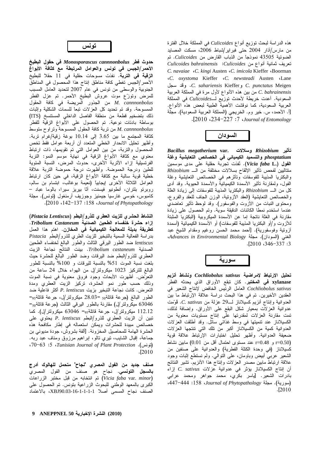هذه الدراسة لبحث توزيع أنواع Culicoides في المملكة خلال الفترة من مارس/آذار 2004 حتى فبراير/شباط 2006، مسكت المصايد الضوئية 43505 نموذجاً من الذباب القارض من Culicoides. تم تعريف ثمانية أنواع من Culicoides bahrainensis :Culicoides C. navaiae «C. kingi Austen «C. imicola Kieffer «Boorman «C. oxystoma Kieffer «C. newsteadi Austen «Lane C. sahariensis Kieffer و C. punctatus Meigen C. bahrainensis من بين هذه الأنواع لأول مرة في المملكة العربية السعودية. أعدت خريطة لأحدث توزيع لــCulicoides في المملكة العربية السعودية، كما نوقشت الأهمية الطبية لبعض هذه الأنواع. [أ. الأحمد، س. خير وم. الخريجي (المملكة العربية السعودية). مجلة .[2010 .234-227 :7 .Journal of Entomology

تأثير Rhizobium وسلالات .Bacillus megatherium var phosptatium والتسميد الكيميائي في الخصائص التعايشية وغلة ا**لفول (.Vicia faba L).** نُفذت تجربة حقلية على مدى موسمين منتاليين لفحص تأثير الإلقاح بسلالات مختلفة من الـــ Rhizobium والبكتريا المذيبة للفوسفات ونأثرهم فى الخصائص التعايشية وغلة الفول، ولمقارنة نأثير الأسمدة الكيميائية والأسمدة الحيوية. وقد أدى كل من الـــ Rhizobium والبكتريا المذيبة للفوسفات إلى زيادة الغلة والخصائص النعايشية (العقد الأزونية، الوزن الجاف للعقد والفروع، ومحتوى النبات من الأزوت والفوسفور). وقد لوحظ نأثير نعاضدي عندما استخدم نمطا الكائنات الدقيقة سوية. وتم الحصول على زيادة مقارنة في الغلة ناتجة إما عن الأسمدة الميكروبية (البكتريا المثبتة للأزوت و/أو البكتريا المذيبة للفوسفات) أو الأسمدة الكيميائية (أسمدة أزونية وفوسفورية). [أحمد محمد الحسن روغيم ومقدام الشيخ عبد الغني (السودان). مجلة Advances in Environmental Biology،  $. [2010, 346 - 337:3]$ 



تحليل الإرتباط لإمراضية Cochliobolus sativus ونشاط أنزيم xylanase **في المختبر**. كان تبقع الأوراق الذي يحدثه الفطر Cochliobolus sativus العامل الرئيس الخافض لإنتاج الشعير في العقدين الأخيرين. تم في هذا البحث دراسة علاقة الإرتباط ما بين العدوانية وإنتاج أنزيم كسيلاناز لــ29 عزلة من C. sativus. ڤوَمت عدوانية العزلات بمعيار شكل البقع على الأوراق. وإضافة لذلك، تمت مقارنة العزلات لمقدرتها علَّى إنتاج مستويات معنوية من الكسيلاناز عند نتميتها في وسط غذائي سائل. وقد أطلقت العزلات العدوانية كمية من الكسيلاناز أكبر من تلك التي نتتجها العزلات ضعيفة العدوانية. وأظهر تحليل اختبارات الإرتباط علاقة قوية r=0.50) و r=0.48 عند مستوى احتمال أقل من 0.01) مابين نشاط كسيلاناز (في وحدة الكتلة الفطرية) والعدوانية على صنفين من الشعير عربي أبيض وباومان، على النوالي. ولم نستطع إثبات وجود علاقة ارتباط مابين مصدر العزلات وإنتاج هذا الأنزيم. تشير النتائج أن إنتاج الكسيلاناز يؤثر في عدوانية عزلات C. sativus إزاء بادرات الشعير. [ياسر بكري، محمد جواهر ومحمد عرابي (سورية). مجلة Journal of Phytopathology، 1447-444،  $. [2010]$ 



حدوث فطر Monosporascus cannnonbolus في حقول البطيخ الأحمر/الجبس في تونس والعوامل المرتبطة مع كثافة الأبواغ ا**لزقية في التربة.** نفذت مسوحات حقلية في 11 حقلاً للبطيخ الأحمر /الجبس تغطي كافة مناطق إنتاج هذا المحصول في المناطق الجنوبية والوسطى من نونس في عام 2007 لنحديد العامل المسبب للمرض ونوزّع موت عروش البطيخ الأحمر. تم عزل الفطر M. cannnonbolus من الجذور المريضة في كافة الحقول الممسوحة. وقد تم تحديد كل العز لات تبعًا للسمات الشكلية وإثبات ذلك بتضخيم قطعة من منطقة الفاصل الداخلي المستسخ (ITS) بوساطة بادئات نوعية. تم الحصول على الأبواغ الزقية للفطر M. cannnonbolus من نربة كافة الحقول الممسوحة ونراوح منوسط كثافة المجتمع ما بين 3.65 إلى 10.14 بوغة زقية/غرام تربة. وأظهر تحليل الانحدار الخطي المتعدد أن أربعة عوامل فقط تخص المحصول والتربة، من بين العوامل التـي تم تقويمها، ذات ارتباط معنوي مع كثافة الأبواغ الزقية في نهاية موسم النمو: التربة الفرنسيلية إزاء الأنربة الأخرى، حدوث المرض، النسبة المئوية للطين ودرجة الحموضة. وأظهرت درجة حموضة التربة علاقة خطية قوية سالبة مع كثافة الأبواغ الزقية، في حين كان ارتباط العوامل الثلاثة الأخرَّى إيجابياً (نعيمة بوغالبٌ، ابتسام بن سالم، روبرنو بلنران، أنطونيو فيسنت، أنّا بيريز سيرا، بالوما عباد – كامبوس، خوسى غارسيا جيمنيز وجوزيف أرمنغول (نونس). مجلة .[2010 .142-137 :158 .Journal of Phytopathology

النشاط الحشري للزيت العطري للذرو/البطم (Pistacia Lentiscus) إزاء حشرة خنفساء الطحين الصدئية Tribolium Castaneum. **كطريقة بديلة للمعالجة الكيميائية في المخازن.** اهتم هذا الع*م*ل بدر اسة الفعالية السمية بالتبخير للزيت الطري للذرو/البطم Pistacia lentiscus ضد الطور اليرقى الثالث والطور البالغ لخنفساء الطحين الصدئية Tribolium castaneum. بينت النتائج نجاعة الزيت العطري للذرو/البطم ضد البرقات وضد الطور البالغ للحشرة حيث بلغت نسبة الموت 51% بالنسبة لليرقات و 100% بالنسبة للطور البالغ للنركيز 1023 ميكرولتر/ل من الهواء خلال 24 ساعة من النعرَّض. أظهرت الأبحاث وجود فروق معنوية فـي نسبة الموت وذلك حسب طور نمو الحشرة، نركيز الزيت العطري ومدة النعرض. كانت نجاعة التبخير بزيت P. lentiscus أكثر فاعلية ضد  $\epsilon_{95}$ الطور البالغ (جرعة قاتلة $_{50}$  =28.03 ميكرولتر/ل، جرعة قاتلة  $\epsilon_{50}$ ميكرولنتر/ل) مقارنة بالطور البرقمي الثالث (جرعة قاتلة = 112.12 ميكرولنر/ل، جرعة قاتلة<sub>95</sub> 3046 ميكرولنر/ل). كما تبين أن الزيت العطري للذرو/البطم P. lentiscus يحتوي على خصائص مبيدة للحشرات ويمكن استعماله في إطار مكافحة هذه الْحَشْرَة الْهَامَة لْلْمُحَاصِيلْ الْمَخْزُونَة. [أَلْفَة بِشْرُوشْ، جُودَة مَدْيُونِي بْنِ جماعة، إقبال الشايب، نَيْري نالو، إبراهيم مرزوق ومناف عبد ربه. (تونس). Tunisian Journal of Plant Protection، 5: 70–63.  $-2010$ 

صنف جديد من الفول المصري "نجاح" متحمل للهالوك أدرج **بالسجل التونسي.** نجاح هو صنف من الفول المصري (Vicia faba var. minor) تم انتخابه من قبل مختبر الزراعات الكبرى بالمعهد الوطني للبحوث الزراعية بتونس. تم الحصول على الصنف نجاح المسمى أصلا 1-1-1-1-1-2-XBJ90.03، بالاعتماد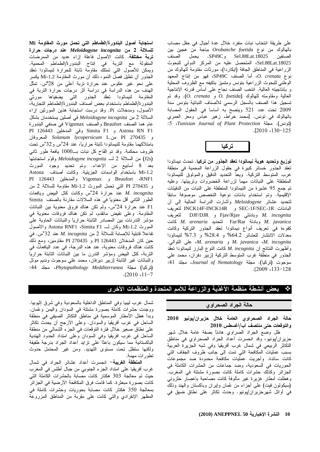على طريقة انتخاب نبات منفرد خلال عدة أجيال في حقل مصاب بالمهالوك من نوع Orobanche foetida بباجة من هجين بين الصنفين Sel.88Lat.18025 وSP49C. يحمل الصنف Sel.88Lat.18025، المتحصل عليه من المركز الدولي للبحوث الزراعية في المناطق الجافة (ايكاردا)، مورثات مقاومة للهالوك من نوع O. crenata، أما الصنف SP49C، فهو من إنتاج المعهد الوطني للبحوث الزراعية بنونس ومتميز بتكيفه مع الظروف المحلية و بإنتاجيته العالية. انتخب الصنف نجاح على أساس قدرته الإنتاجية العالية ومقاومته للـهالوك O. foetida) و O. crenata). وقد تم تسجيل هذا الصنف بالسجل الرسمي للأصناف النباتية بتونس سنة 2009 تحت عدد 521 وينصح به أساساً في الحقول المصابة بالهالوك في نونس. [محمد خراط، زهير عباس ومعز العمري :5 (تونس). مجلة Tunisian Journal of Plant Protection.  $-2010$ , 130-125



توزيع وتحديد هوية نيماتودا تعقد الجذور من تركيا. تحدث نيماتودا تعقد الجذور خسائر كبيرة في حقول الزراعة المحمية في منطقة غرب المتوسط التركية. ويعدّ التحديد الدقيق والموثوق لّلنيماتودا المتطفلة على النباتات مهما لزراعة الخضروات وتربيتها. وعليه تم جمع 95 عشيرة من النيماتودا المنطفلة على النبات من الدفيئات الإقليمية. وتم استخدام بادئات نوعية التخصص موصوفة سابقاً لتحديد عشائر Meloidogyne وأشارت الدراسة الحالية إلىي أن اللبادئات SEC-1F/SEC-1R و INCK14F-INCK14R لتعريف M. incognita وبادئتي Fjav/Rjav و DJF/DJR و المتعريف كانت M. arenaria أنتحديد Far/Rar فكانت M. javanica كفوءة فى تعريف أنواع نيماتودا تعقد الجذور التركية وكانت معدلات الانتشار للعشائر 64.2% و 28.4% و 7.3% لنيماتودا M. javanica ،M. incognita و M. arenaria، على النوالي. وأظهرت النتائج أن M. incognita كانت النوع البارز لنيماتودا تعقد الجذور في منطَّقة غرب المتوسط التركية [زبيِّر دفران، محمد على سوجوت (نركيا). مجلة Journal of Nematology، مجلد 41:  $-12009 \cdot 133 - 128$ 

استجابة أصول البندورة/الطماطم التي تحمل مورث المقاومة Mi للسلالة 2 من Meloidogyne incognita عند درجات حرارة **ترية مختلفة.** كانت الأصول فاعلة إزاء عديد من الممرضات المنقولة مع التربة في إنتاج البندورة/الطماطم المحمية. ويمكن للأصول التى تمتلك مقاومة ثابتة للحرارة لنيماتودا تعقد الجذور أن نطيل فصل النمو، ذلك أن مورث المقاومة 1.2-Mi يكسر علي نحو غير عكوس عند حرارة تربة أعلى من 28°س. تمثّل الهدف من هذه الدراسة في دراسة أثر درجات حرارة التربة في المقاومة لنيماتودا تعقد الجذور التى يضفياها مورثي البندور ة/الطماطم باستخدام بعض أصناف البندور ة/الطماطم النجارية، الأصول، ومدخلات Pi. وقد درست استجابة هذين المورثين إزاء السلالة 2 من Meloidogyne incognita في أصلين يستخدمان بشكل عام هما الصنف Beaufort والصنف Vigomax في صنفي البندورة PI 126443 و Simita F1 وفي المدخلين Astona RN F1 و PI 270435 المعروفان Solanum lycopersicum L بامتلاكهما مقاومة للنيماتودا ثابتة حرارياً، عند 24°س و32°س تحت ظروف محكمة. وقد تم القاح كل نبات بــ1000 بافعة طور ثانبي (J2s) من السلالة 2 لــ Meloidogyne incognita وقوّم استجابتها بعد 8 أسابيع من الإعداء. وتم تحديد وجود المورث Mi-1.2 باستخدام الواسمات الجزيئية. وكانت أصناف Astona PI 126443 و Vigomax والمدخلين 126443 PI 126443 و 270435 PI التي نحمل المورث Mi-1.2 مقاومة للسلالة 2 من عند حرارة 24°س وكانت كتل البيض ويافعات M. incognita الطور الثاني أقل معنوياً في هذه السلالات مقارنة بالصنف Simita F1 عند حرارة 24°س، ولم نكن هناك فروق معنوية بين النباتات المقاومة. وعلى نقيض ماتقدم، لم نكن هناك فروقات معنوية في مؤشر الندرنات بين المصادر الثابتة حراريا والنباتات الحاوية على العورث Mi-1.2 وكان لــــ Simita F1، وSimita F1 والأصول تفاعلاً فابلية للإصابة للسلالة 2 من M. incognita عند 32°س. في حين كان المدخلان PI 126443 و PI 270435 و PI مقاومين، ومع ذلك كانت هناك فروقات معنوية، عند هذه الدرجة، في عدد اليافعات في التربة، كلل البيض ومؤشر الندرن ما بين النباتات الثابتة حرارياً والنباتات غير الثابتة [زبير ديرفان، محمد على سوجوت ونديم مونل (نركيا) مجلة Medditerranea، مجلد 44:  $-12010 \cdot 11 - 7$ 

#### بعض أنشطة منظمة الأغذية والزراعة للأمم المتحدة والمنظمات الأخرى ❖

#### حالة الجراد الصحراوي

#### حالة الجراد الصحراوي العامة خلال حزيران/يونيو 2010 والتوقعات حتى منتصف أب/أغسطس 2010

ظل وضع الجراد الصراوي هادئا بصفة عامة خلال شهر حزير ان/يونيو، وقد انحسرت أعداد الجراد الصحراوى فى مناطق النكاثر الربيعي في شمال غرب أفريقيا وفي شبه الجزيرة العربية بسبب عمليات المكافحة التي تمت إلى جانب ظروف الجفاف التي كانت سائدة. وأجريت عمليات مكافحة محدودة ضد مجموعات الحوريات في السعودية، وضد جماعات من الحشرات الكاملة في الْجزائر وكذَّلك حشرات كاملة كانت بصورة مشتتة في المغرب. وهطلت أمطار غزيرة غير مألوفة كانت مصاحبة بإعصار حلزونى (سيكولون فيت) على أجزاء من عُمان وإيران وباكستان والهند وذلك في أوائل شهرحزيران/يونيو. وحدث نكاثر على نطاق ضيق في

شمال غرب ليبيا وفي المناطق الداخلية بالسعودية وفي شرق إثيوبيا. ووجدت حشرات كاملة بصورة مشتتة في السودان واليمن وعُمان. وبدأ هطل الأمطار الموسمية في مناطق النكاثر الصبفي في منطقة الساحل في غرب أفريقيا والسودان. وعلى الأرجح أن يحدث نكاثر على نطاق صغير خلال فترة التوقعات في الجزء الشمالي من منطقة الساحل في غرب افريقيا وفي السودان وعلى امنداد الحدود المهندية الباكستانية مما سيكون باعثا على نزايد أعداد الجراد بدرجة طفيفة ولكنها ستظل نحت مستوى التهديد. ومن غير المحتمل حدوث نطور ات مهمة.

ا**لمنطقة الغريبة** – انحسرت أعداد عشائر الجراد في شمال غرب أفريقيا على امتداد الجزء الجنوبي من جبال أطلس في المغرب حيث تم معالجة 303 هكتار كانت مصابة بالحشرات الكاملة التي كانت بصورة مبعثرة. كما قامت فرق المكافحة الأرضية في الجزائر بمعالجة 350 هكتار كانت مصابة بحوريات وحشرات كاملة في المظهر الإنفرادي والتبي كانت على مقربة من المناطق المزروعة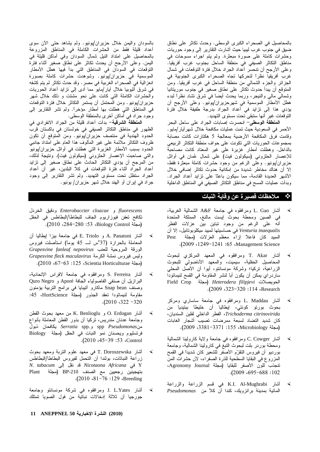بالمحاصيل في الصحراء الكبرى الوسطى. وحدث نكاثر على نطاق ضيق في جنوب غرب ليبيا حيث أشارت النقارير إلى وجود حوريات وحشرات كاملة على صورة مبعثرة. ولم يتم اجراء مسوحات في مناطق النكاثر الصيفي في منطقة الساحل بجنوب غرب أفريقيا. وعلى الأرجح أن نتحسر أعداد الجراد خلال فترة التوقعات في شمال غرب أفريقيا نظراً لتحركها تجاه الصحراء الكبرى الجنوبية في المجزائر والجزء الشمالي من منطقة الساحل في غرب أفريقيا. ومن المتوقع أن بيدأ حدوث نكاثر على نطاق صغير في جنوب موريتانيا وشمالي مالي والنيجر، وربما يحدث أيضاً في شرق نشاد نظراً لبدء هطل الأمطار الموسمية في شهرحزيران/يونيو. وعلى الأرجح أن يؤدي هذا إلى نزايد في أعداد الجراد بدرجة طفيفة خلال فترة التوقعات غير أنها ستبقى تحت مستوى التهديد.

ا**لمنطقة الوسطى**– انحسرت إصابات الجراد على ساحل البحر الأحمر في السعودية حيث تمت عمليات مكافحة خلال شهر أيار /مايو . وقامت فرق المكافحة الأرضية بمعالجة 5 هكتارات كانت مصابة بمجموعات الحوريات التي تكونت على حواف منطقة التكاثر الربيعي بالداخل. وهطلت أمطار غزيرة على غير المعناد كانت مصاحبة للإعصار الحلزوني (سيكولون فيت) على شمال عُمان في أوائل حزيران/يونيو. وعلى الرغم من وجود حشرات كاملة مبعثرة فقط، إلا أن هناك مخاطر شديدة من إمكانية حدوث نكاثر إضافي خلال الأشهر العديدة القادمة، مما سيكون باعثًا على نزايد أعداد الجراد. وبدأت عمليات المسح في مناطق النكاثر الصيفي في المناطق الداخلية

#### ملاحظات فصير ة عن وفاية النبات  $\ddot{\cdot}$

- أشار L. Gao ومرافقوه في جامعة A&F الشمالية الغربية، في الصين ومحطة بحوث إيست مالنغ، المملكة المتحدة أنه على الرغم من وجود تباين بين عزلات الفطر Venturia inaequalis في حساسيتها لمبيد ميكلوبوتانيل، إلا أن المبيد كان فاعلاً إزاء معظم العزلات (مجلة Pest .(2009 .1249-1241 :65 .Management Science
- أشار T. Akar ومرافقوه في المعهد المركزي لبحوث  $\blacktriangleleft$ المحاصيل الحقلية، سيميت، والمعهد الأناضولي للبحوث الزراعية، تركيا؛ وشركة مونسانتو، أبوا أن الأصل المحلمي سار در اي يمكن أن يكون أبا لنشر المقاومة في القمح لنيماتودا Field Crop (مجلة) Heterodera filipjevi Research .(2009 .323-320 :114 .Research
- أشار L. Maddau ومرافقوه في جامعة ساساري ومركز بحوث بورتو كونتي، إيطاليا أن خليطاً ببنيدياً من Trichoderma citrinovirida، الفطر الداخلي لفلين السنديان، كان شديد التضاد لسبعة ممرضات تصبب أشجار الغابات (مجلة Microbiology، 155، 2009).
- أشار C. Cowger ومرافقوه في جامعة ولاية كارولينا الشمالية ومحطة بوردر بلت لبحوث النبغ في كارولينا الشمالية، وجامعة بورديو أن فيروس النقزّم الأصفر للشعير كان شديداً في القمح المزروع في البقايا السطحية للذرة الصفراء، لأن حشرات المن نتجذب للون الأصفر للبقايا (مجلة Agronomy Journal،  $. (2009.695 - 688:102)$
- أشار K.I. Al-Mughrabi في قسم الزراعة والزراعة  $\blacktriangleleft$ العائية بمدينة برانزويك، كندا أنّ كلاً من Pseudomonas

بالسودان واليمن خلال حزيران/يونيو. ولم يشاهد حتى الأن سوى أعداد قليلة فقط من الحشرات الكاملة في المناطق المزروعة بالمحاصيل على امتداد النيل شمال السودان وفي أماكن قليلة في اليمن. وعلى الأرجح أن يحدث نكاثر على نطاق صغير أثناء فترةً النوقعات في السودان في المناطق التي بدأ فيها هطل الأمطار الموسمية في حزيران/يونيو. وشوهدت حشرات كاملة بصورة انعزالية في الصحراء الغربية في مصر . وقد حدث نكاثر لم يتم كشفه في شرق أثيوبيا خلال أيار/مايو مما أدى إلى نزايد أعداد الحوريات والحشرات الكاملة التي كانت على نحو مشتت و ذلك خلال شهر حزير ان/يونيو. ومن المحتمل أن يستمر التكاثر خلال فترة التوقعات في المناطق التي هطلت بها أمطار مؤخراً. ولم تشر النقارير إلى وجود جراد في أماكن أخرى بالمنطقة الوسطى.

ا**لمنطقة** ا**لشرقية**– بدأت أعداد قليلة من الجراد الانفرادي في الظهور في مناطق التكاثر الصبفي في خولستان في باكستان قرب الحدود الهندية في منتصف حزيران/يونيو. ومن المتوقع أن تكون ظروف النكاثر ملائمة على غير المألوف هذا العام على امتداد جانبي الحدود بسبب الأمطار الغزيرة التي هطلت في أوائل حزيران/يونيو والتي صاحبت الإعصار الحلزوني (سيكولون فيت). ونتيجة لذلك، من المرجح أن يؤدي التكاثر الحادث على نطاق صغير إلى تزايد أعداد الجرّاد أثناء فترة التوقعات في كلا البلدين، غير أن أعداد الْجَرَاد سَنظَلَ نَحْتَ مُسْتَوَى النَّهْدِيد. وَلَم نَشْرِ النَّقَارِيْرِ إِلَى وَجُودَ جراد في إيران أو الهند خلال شهر حزيران/ يونيو .

fluorescens و Enterobaccter cloacae ودقيق الخردل تكافح تعفن فيوزاريوم الجاف للبطاطا/البطاطس في الحقل (مجلة Biology Control، 53: 280-284، 2010).

- أشار A. Panatoni و E. Triolo في جامعة ببزا إبطاليا أن ◀ المعاملة بالحرارة (37°س لــ 45 يوماً) استأصلت فيروس الورقة المروحية للعنب Grapesvine fanleaf nepovirus وليس فيروس نمشة الكرمة Grapesvine fleck maculavirus (مجلة Scientia Horticulturae)، 125-67، 2010).
- أشار S. Ferreira ومرافقوه في جامعة لافراس الإنحادية،  $\blacktriangleleft$ البرازيل أن صنفي الفاصولياء الجافة Aporé و Quro Negro وصنف Snap bean ماكارو أنيبايا في برامج النربية يؤمنون مقاومة لنيماتودا تعقد الجذور (مجلة HortScience، 45:  $. (2010.322 - 320)$
- أشار O. Erdogan و K. Benlioglu من معهد بحوث القطن  $\blacktriangleleft$ وجامعة عدنان مندريس، نركيا أن بذور القطن المعاملة بأنواع منSerratia spp. و Serratia spp. ويكافحان ذبول فرنسليوم ويحسنان نمو النبات في الحقل (مجلة Biology .(2010 $\cdot$ 45-39:53 $\cdot$ Control
- أشار T. Doroszewska في معهد علوم النربة ومعهد بحوث زراعة النباتات، بولندا أن التحمل لفيروس البطاطا/البطاطس N. tabacum في Nicotaona Africana فَدْ نَقَلْ إِلَى N. tabacum بتهجينين رجعيين مع الصنف BP-210 (مجلة Plant .(2010  $.81-76:129$  Breeding
- أشار J. L.Yates ومرافقوه في شركة مونسانتو وجامعة  $\blacktriangleleft$ جورجيا أن ثلاثة إدخالات نباتية من فول الصويا تمتلك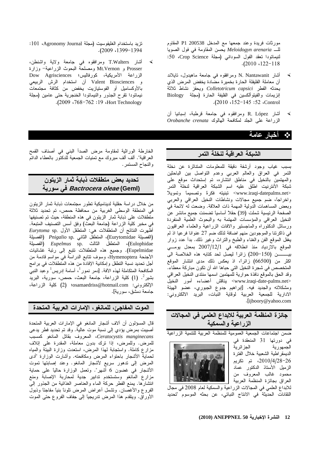مورثات فريدة وعند جمعها مع المدخل 200538 P1 المقاوم لله Meloidogyn arenaria يحسن المقاومة في فول الصويا لنيماتودا تعقد الفول السوداني (مجلة Crop Science، 50:  $. (2010.122 - 118)$ 

- أشار N. Nantawanit ومرافقوه في جامعة ماهيدول، نايلاند  $\blacktriangleleft$ أن معاملة الفليفلة الحارة بخميرة مضادة يخفض المرض الذي بحدثه الفطر Colletotricum capsici وبحفز نشاط ثلاثة إنزيمات والفيتوألكسين في الفليفة الحارة (مجلة Biology .(2010 $\cdot$ 152-145:52 $\cdot$ Control
- أشار R. López ومرافقوه في جامعة قرطبة، إسبانيا أن  $\blacktriangleleft$ الزراعة على الجلد لمكافحة الهالوك Orobanche crenata

## أخبار عامة

#### الشبكة العراقية لنخلة التمر

بسبب غياب وجود أرشفة دقيقة للمعلومات المتناثرة عن نخلة النَّمر في العراق والعالم العربي وعدم النَّواصل بين الباحثين والمهتمين بالنخيل في مناطق انتشاره، تم إستحداث موقع على شبكة الأنترنيت اطلق عليه اسم الشبكة العراقية لنخلة التمر <www.iraqi-datepalms.net> تبنيته فكرةً وتصميماً وتمويلاً واخراجاً، ضم جميع مجالات ونشاطات النخيل العراقي والعربي وبعض المساهمات الدولية المهمة ذات العلاقة. وضعت له لائحة في الصفحة الرئيسية شملت (39) حقلاً أساسياً تضمنت جميع مانشر عن النخيل العراقي والمؤسسات المهتمة به والبحوث العلَّمية المنفردة ورسائل الدكتوراه والماجستير والافات الزراعية والعلماء العراقيون في ذاكرنتا والموجودين منهم اضافة لذلك ضم 27 عنوانا فرعيا اذ لم يغفل الموقع الفن والغناء والطبخ والنراث وغير ذلك. بدأ عدد زوار الموقع بالازدياد منذ انطلاقه في 2007/12/1 بمعدل بومــي بيـــــــــن (150–200) زائراً ليصل لحد كتابه هذه الخلاصة الى اكثر من (66500) زائراً، اذ يعكس ذلك مدى انتشار الموقع المتخصص في شجرة النخيل التي حباها الله أن تكون مباركة معطاء. وقد الحق بالموقع نافذة حوارية للمهتمين اسمها منتدى النخيل العراقي <www.iraqi-date-palms.net> يناقش أعضاءه أمور النخيل ومشكلاته والجديد فيه. [إبراهيم جدوع الجبوري، عضو الهيئة الادارية للجمعية العربية لوقاية النَّبات، البريد الالكتروني: .[ijboory@yahoo.com

## جائزة المنظمة العربية للابداع العلمي في المجالات الزراعية والسمكية

ضمن احتماعات الحمعية العمومية للمنظمة العربية للتتمية الزراعية





للابداع العلمي في المجالات الزراعية والسمكية لعام 2008 في مجال النقانات الحديثة في الانتاج النباتي، عن بحثه الموسوم "تحديد

أشار T.Walters ومرافقوه في جامعة ولاية واشنطن، Prosser و Mt.Vernon ومصلحة البحوث الزراعية- وزارة الزراعة الأمريكية، كورفاليس؛ Dow Agrisciences و Valent Biosciences أن استخدام الرش الربيعي بالأوكساميل أو الفوستيازيت يخفض من كثافة مجتمعات نيماتودا نقرح الجذور والنيماتودا الخنجرية حتى عامين (مجلة .(2009 .768-762 :19 .Hort Technology

الخارطة الوراثية لمقاومة مرض الصدأ البني في أصناف القمح العر اقية". ألف ألف مبر وك مع تمنيات الجمعية للدكتور بالعطاء الدائم والنجاح المستمر.

# تحديد بعض متطفلات ذبابة ثمار الزبتون *Bactrocera oleae* (Geml) ف*ی* سوریه

من خلال دراسة حقلية لديناميكية نطور مجتمعات ذبابة ثمار الزيتون في المنطقة الوسطى الغربية من محافظة حمص، تم تحديد ثلاثة منطفلات على ذبابة ثمار الزيتون في هذه المنطقة، حيث تم تصنيفها في مخبر كلية الزراعة (جامعة البعث) وفق أسس التصنيف المتبعة. أظهرت النتائج أن المتطفلات هي: المتطفل الأول .Eurytoma sp (الفصيلة Eurytomidae)، المتطفل الثاني .*Pnigalio* sp (الفصيلة Eulophidae)، المنطفل الثالث Eupelmus sp. (الفصيلة Eupelmidae). وجميع هذه المنطفلات نتبع إلى رنبة غشائيات الأجنحة Hymenoptera، وسوف نتابع الدراسة في مواسم قادمة من أجل تحديد نسبة التطفل وإمكانية الإفادة من هذه المتطفلات في برامج المكافحة المتكاملة لهذه الآفة. [دمر نمور<sup>1</sup>، أسامة إدريس<sup>1</sup> وعبد النبي بشيرٌ -. (1) كلية الزراعة، جامعة البعث، حمص، سورية، البريد الإلكتروني: osamaedriss@hotmail.com؛ (2) كلية الزراعة، جامعة دمشق، سورية].

### الموت المفاجئ، للمانغو ، الإمارات العربية المتحدة

قال المسؤلون أن آلاف أشجار المانغو في الإمارات العربية المتحدة أصيبت بمرض يؤدي إلى نسبة موت عالية. وقد تم تحديد فطر يدعى Ceratocystis manginecans، المعروف بقاتل المانغو كمسبب للمرض. وللمرض، إذا نرك بدون معاملة، المقدرة على إنلاف مزارع كاملة. واستجابة لمهذا المرض، استعدت وزارة الببيئة والمياه لحماية الأشجار باحتواء المرض ومكافحته. وأشارت الوزارة "أدى المرض إلى ندهور سريع لأشجار المانغو. وعند إصابتها نموت الأشجار في غضون 6 أشهر". ونعمل الوزارة حالياً على حماية مزارع المانغو وستستخدم ندابير جدية لمحاربة الإصابة ومنع انتشارَّها. يمنع الفطر حركة الماء والعناصر الغذائية من الجذور إلىي الفروع والأغصان. ونشمل أعراض المرض نلونا بنيا مفاجئا وذبول الأورآق. ويتقدم هذا المرض ندريجياً إلى جفاف الفروع حتى الموت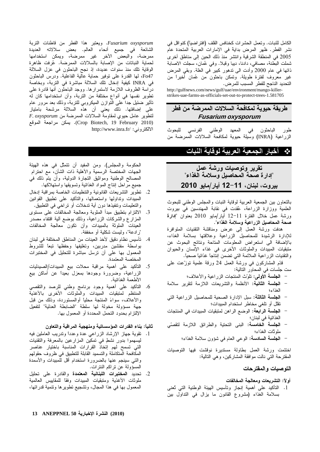الكامل للنبات. وتعمل الحشر ات كخنافس القلف (افتر اضياً) كنو اقل في نشر الفطر. ظهر المرض بداية في الإمارات العربية المتحدة عام 2005 في المنطقة الشرقية وانتشر منذ ذلك الحين إلى مناطق أخرى شملت البطنة، مصافى، دادنا، ديبا وقبلا. وفي عُمان، سجلت الاصابة ذاتها في عام 2000 وأدت الى ندهور كبير في الغلة. وبقى المرض غير معروف لفترة طويلة. وتمكن باحثون من عُمان أخيراً من التحديد الناجح للفطر المسبب للمرض.

http://gulfnews.com/news/gulf/uae/environment/mango-killerstrikes-uae-farms-as-officials-set-out-to-protect-trees-1.581705

### طريقة حيوية لمكافحة السلالات الممرضة من فطر **Fusarium oxysporum**

الباحثون في المعهد الوطني الفرنسي للبحوث طور الزراعية (INRA) وسيلة حيوية لمكافحة السلالات الممرضة من

## \* أخبار الجمعية العربية لوقاية النبات

# تقرير وتوصيات ورشة عمل "إدارة صحة المحاصيل وسلامة الغذاء" بيروت، لبنان، 11–12 أيار/مايو 2010

بالنعاون بين الجمعية العربية لوقاية النبات والمجلس الوطني للبحوث العلمية ووزارة الزراعة، عُقدت في نقابة المهندسين في بيروت ورشة عمل خلال الفترة 11-12 أيار/مايو 2010 بعنوان "إدارة صحة المحاصيل الزراعية وسلامة الغذاء".

هدفت ورشة العمل إلىى عرض ومناقشة التقنيات المنوافرة للإدارة الرشيدة للمحاصيل الزراعية وعلاقتها بسلامة الغذاء، بالإضافة الى استعراض المعلومات المتاحة ونتائج البحوث عن متبقيات المبيدات والملوثات الأخرى في غذاء الإنسان والحيوان والنقنيات الزراعية الملائمة التي نضمن إنتاجا غذائيا صحيا.

قدَّم المشاركون في ورشة العمل 24 ورقة علمية نوزَّعت على ست جلسات في المحاور التالية:

- ا**لجلسة الأولمي:** نلوّتْ المنتجات الزراعية والأعلاف؛
- ا**لجلسة الثانية:** الأنظمة والتشريعات اللازمة لتقرير سلامة الغذاء؛
- ا**لجلسة الثالثة:** سبل الإدارة الصحية للمحاصيل الزراعية التي نقلل أو نلغي مخاطر استخدام المبيدات؛
- ا**لجلسة الرابعة:** الوضع الراهن لمتبقيات المبيدات في المنتجات الغذائية في لبنان؛
- ا**لجلسة الخامسة:** البنبي التحتية والطرائق اللازمة لتقصّي ملوئات الغذاء؛
	- ا**لجلسة السادسة:** الوعي العام في شؤون سلامة الغذاء؛

اختتمت ورشة العمل بطاولة مستديرة نوقشت فيها التوصيات المقترحة التـي نـالت موافقة المشاركين، وهـي التالية:

#### التوصيات والمفترحات

- أولاً: التشريعات ومعالجة المخالفات
- 1. التأكيد على أهمية إنجاز وتأسيس الهيئة الوطنية التي تُعنى بسلامة الغذاء (مشروع القانون ما يزال في التداول بين

Fusarium oxysporum. ويعتبر هذا الفطر من قاطنات التربة الشائعة في جميع أنحاء العالم. بعض سلالاته العديدة ممرضة، والبعض الأخر غير ممرضة، ويمكن استخدامها لحماية النباتات من الإصابة بالسلالات الممرضة. عُرفت ظاهرة الوقاية تلك منذ سنوات عديدة، إذ نجح الباحثون في عزل السلالة Fo47، لمها القدرة على نوفير حماية عالية الفاعلية. ودرس الباحثون في INRA كيفية إدخال تلك السلالة مباشرة في التربة، وبخاصة دراسة الظروف اللازمة لاستمرارها. ووجد الباحثون أنها قادرة على تطوير نفسها في أنواع مختلفة من التربة، وأن استخدامها كان له نَأْثير ضئيل جدا على النوازن الميكروبي للنربة، وذلك بعد مرور عام على إضافتها. ذلك يعني أن هذه السلالة مرشحة بامتياز  $F.$   $oxysporum$  لنطوير عامل حيوى لمقاومة السلالات الممرضية من (Crop Biotech, 19 February 2010). يمكن مراجعة الموقع http://www.inra.fr/ :ألالكتر وني

الحكومة والمجلس). ومن المفيد أن نتمثَّل في هذه الهيئة الجهات المختصة الرسمية والأهلية ذات الشأن، مع احترام المصالح الوطنية ومواثيق التجارة الدولية، وأن يتم ذلك في جميع مراحل إنتاج المواد الغذائية ونسويقها واستهلاكها.

- نطوير التشريعات القانونية والتنظيمات الخاصة بمراقبة إدخال  $\cdot$ .2 المبيدات ونداولها واستعمالها، والتأكيد على نطبيق القوانين والتعليمات ونتفيذها دون أية ندخلات أو نراخي في التطبيق.
- الالتزام بتطبيق مبدأ المثوبة ومعالجة المخالفات على مستوى .3 المزارع والشركات الزراعية، وذلك بوضع ألية اقتفاء مصدر العينات الملوثة بالمبيدات وأن نكون معالجة المخالفات "رادعة"، وليست شكلية أو مخففة.
- تأسيس نظام دقيق لأخذ العينات من المناطق المختلفة في لبنان  $\cdot$ .4 بواسطة مفتشين مدربين، وتغليفها وحفظها تبعاً للشروط المعمول بها على أن نرسل مباشرة للتحليل في المختبرات المختصة المعتمدة.
- التأكيد على أهمية مراقبة محلات بيع المبيدات/الصيدليات  $\cdot$ .5 الزراعية، وضرورة وجودها بمعزل بعيداً عن أماكن بيع الأطعمة الغذائية.
- 6. التأكيد على أهمية وجود برنامج وطني للرصد والنقصي المنتظم لمتبقيات المبيدات والملوثات الأخرى بالأغذية والأعلاف، سواءً المنتجة محلياً أوالمستوردة، وذلك من قبل جهة مسؤولة مخولة لها سلطة "الضابطة العدلية" لتفعيل الإلتزام بحدود التحمل المحددة أو المعمول بها.

#### ثانياً: بناع القدرات المؤسساتية ومنهجية المراقبة والتعاون

- 1. نقوية جهاز الإرشاد الزراعي عدة وعدداً وندريب العاملين فيه ليسهموا بدور نشط في تمكيّن المزارعين بالمعرفة والنقّنيات<br>التي تسمح أهم إتخاذ القرارات المناسبة باختيار عناصر المكافحة المتكاملة والتسميد القابلة للتطبيق في ظروف حقولهم والتبى سينجم عنها بالضرورة استخدام أقل للمبيدات والأسمدة المسؤولة عن نراكم النترات.
- 2. تحديد المختبرات اللبنانية المعتمدة والقادرة على تحليل ملوثات الأغذية ومتبقيات المبيدات وفقا للمقاييس العالمية المعمول بها في هذا المجال، وتشجيع نطوير ها ونتمية قدراتها،